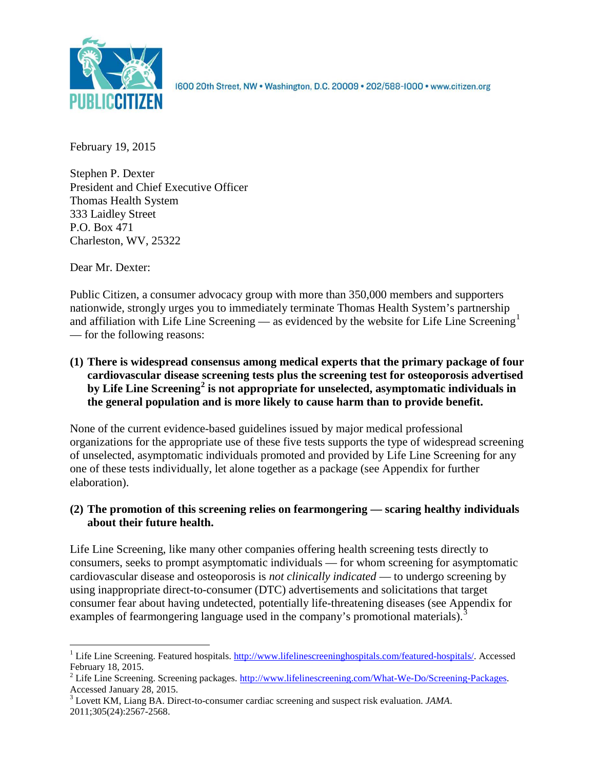

1600 20th Street, NW . Washington, D.C. 20009 . 202/588-1000 . www.citizen.org

February 19, 2015

Stephen P. Dexter President and Chief Executive Officer Thomas Health System 333 Laidley Street P.O. Box 471 Charleston, WV, 25322

Dear Mr. Dexter:

Public Citizen, a consumer advocacy group with more than 350,000 members and supporters nationwide, strongly urges you to immediately terminate Thomas Health System's partnership and affiliation with Life Line Screening — as evidenced by the website for Life Line Screening<sup>[1](#page-0-0)</sup> — for the following reasons:

**(1) There is widespread consensus among medical experts that the primary package of four cardiovascular disease screening tests plus the screening test for osteoporosis advertised by Life Line Screening[2](#page-0-1) is not appropriate for unselected, asymptomatic individuals in the general population and is more likely to cause harm than to provide benefit.**

None of the current evidence-based guidelines issued by major medical professional organizations for the appropriate use of these five tests supports the type of widespread screening of unselected, asymptomatic individuals promoted and provided by Life Line Screening for any one of these tests individually, let alone together as a package (see Appendix for further elaboration).

# **(2) The promotion of this screening relies on fearmongering — scaring healthy individuals about their future health.**

Life Line Screening, like many other companies offering health screening tests directly to consumers, seeks to prompt asymptomatic individuals — for whom screening for asymptomatic cardiovascular disease and osteoporosis is *not clinically indicated* — to undergo screening by using inappropriate direct-to-consumer (DTC) advertisements and solicitations that target consumer fear about having undetected, potentially life-threatening diseases (see Appendix for examples of fearmongering language used in the company's promotional materials).<sup>[3](#page-0-2)</sup>

<span id="page-0-0"></span><sup>&</sup>lt;sup>1</sup> Life Line Screening. Featured hospitals.  $\frac{http://www.lifelinescreeninghospitals.com/featured-hospitals/}{$ . Accessed February 18, 2015.

<span id="page-0-1"></span><sup>&</sup>lt;sup>2</sup> Life Line Screening. Screening packages.  $\frac{http://www.lifelinescreening.com/What-We-Do/Screening-Packages. Accessed January 28, 2015.$ 

<span id="page-0-2"></span><sup>&</sup>lt;sup>3</sup> Lovett KM, Liang BA. Direct-to-consumer cardiac screening and suspect risk evaluation. *JAMA*. 2011;305(24):2567-2568.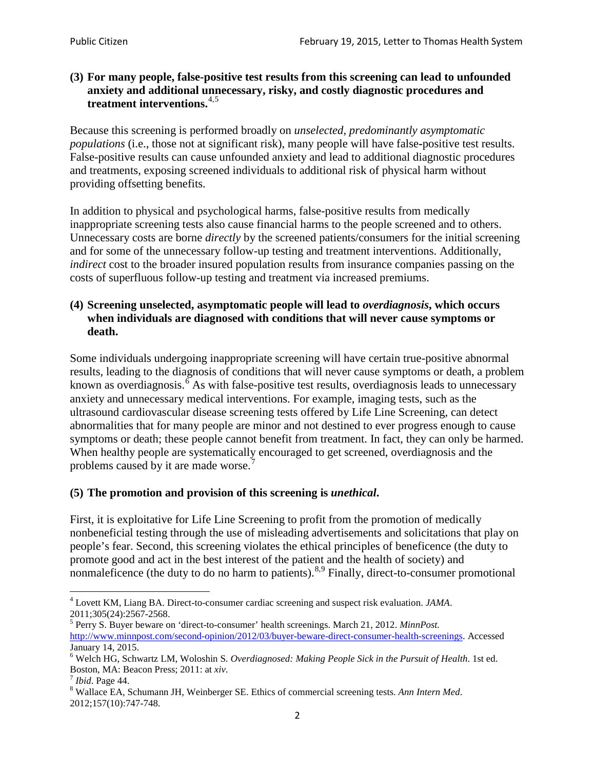# **(3) For many people, false-positive test results from this screening can lead to unfounded anxiety and additional unnecessary, risky, and costly diagnostic procedures and treatment interventions.**[4](#page-1-0),[5](#page-1-1)

Because this screening is performed broadly on *unselected, predominantly asymptomatic populations* (i.e., those not at significant risk), many people will have false**-**positive test results. False-positive results can cause unfounded anxiety and lead to additional diagnostic procedures and treatments, exposing screened individuals to additional risk of physical harm without providing offsetting benefits.

In addition to physical and psychological harms, false-positive results from medically inappropriate screening tests also cause financial harms to the people screened and to others. Unnecessary costs are borne *directly* by the screened patients/consumers for the initial screening and for some of the unnecessary follow-up testing and treatment interventions. Additionally, *indirect* cost to the broader insured population results from insurance companies passing on the costs of superfluous follow-up testing and treatment via increased premiums.

# **(4) Screening unselected, asymptomatic people will lead to** *overdiagnosis***, which occurs when individuals are diagnosed with conditions that will never cause symptoms or death.**

Some individuals undergoing inappropriate screening will have certain true-positive abnormal results, leading to the diagnosis of conditions that will never cause symptoms or death, a problem known as overdiagnosis.<sup>[6](#page-1-2)</sup> As with false-positive test results, overdiagnosis leads to unnecessary anxiety and unnecessary medical interventions. For example, imaging tests, such as the ultrasound cardiovascular disease screening tests offered by Life Line Screening, can detect abnormalities that for many people are minor and not destined to ever progress enough to cause symptoms or death; these people cannot benefit from treatment. In fact, they can only be harmed. When healthy people are systematically encouraged to get screened, overdiagnosis and the problems caused by it are made worse.<sup>[7](#page-1-3)</sup>

# **(5) The promotion and provision of this screening is** *unethical***.**

First, it is exploitative for Life Line Screening to profit from the promotion of medically nonbeneficial testing through the use of misleading advertisements and solicitations that play on people's fear. Second, this screening violates the ethical principles of beneficence (the duty to promote good and act in the best interest of the patient and the health of society) and nonmaleficence (the duty to do no harm to patients).  $8.9$  $8.9$  $8.9$  Finally, direct-to-consumer promotional

<span id="page-1-4"></span>2012;157(10):747-748.

<span id="page-1-5"></span><span id="page-1-0"></span><sup>4</sup> Lovett KM, Liang BA. Direct-to-consumer cardiac screening and suspect risk evaluation. *JAMA*.

<span id="page-1-1"></span><sup>2011;305(24):2567-2568.</sup> <sup>5</sup> Perry S. Buyer beware on 'direct-to-consumer' health screenings. March 21, 2012. *MinnPost.*  [http://www.minnpost.com/second-opinion/2012/03/buyer-beware-direct-consumer-health-screenings.](http://www.minnpost.com/second-opinion/2012/03/buyer-beware-direct-consumer-health-screenings) Accessed January 14, 2015.

<span id="page-1-2"></span><sup>6</sup> Welch HG, Schwartz LM, Woloshin S. *Overdiagnosed: Making People Sick in the Pursuit of Health*. 1st ed. Boston, MA: Beacon Press; 2011: at *xiv*.<br><sup>7</sup> *Ibid*. Page 44.<br><sup>8</sup> Wallace EA, Schumann JH, Weinberger SE. Ethics of commercial screening tests. *Ann Intern Med*.

<span id="page-1-3"></span>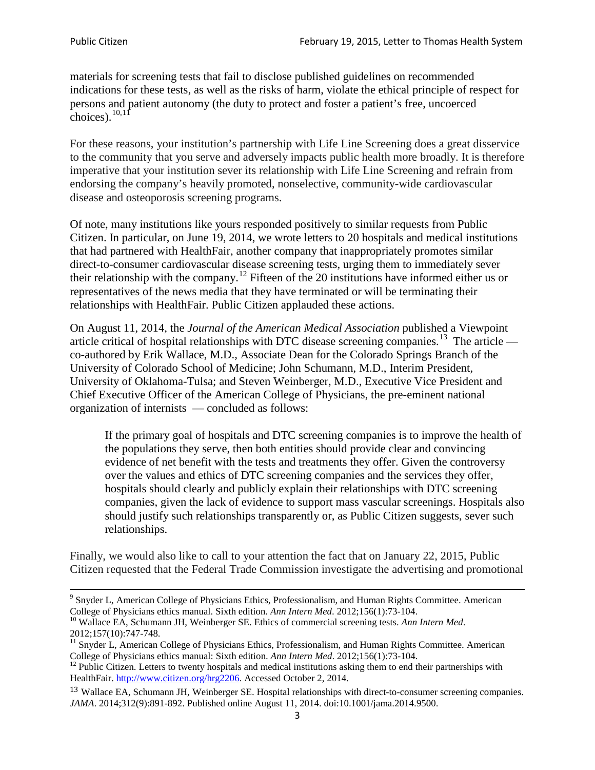materials for screening tests that fail to disclose published guidelines on recommended indications for these tests, as well as the risks of harm, violate the ethical principle of respect for persons and patient autonomy (the duty to protect and foster a patient's free, uncoerced choices). $\frac{10,11}{10,11}$  $\frac{10,11}{10,11}$  $\frac{10,11}{10,11}$  $\frac{10,11}{10,11}$ 

For these reasons, your institution's partnership with Life Line Screening does a great disservice to the community that you serve and adversely impacts public health more broadly. It is therefore imperative that your institution sever its relationship with Life Line Screening and refrain from endorsing the company's heavily promoted, nonselective, community**-**wide cardiovascular disease and osteoporosis screening programs.

Of note, many institutions like yours responded positively to similar requests from Public Citizen. In particular, on June 19, 2014, we wrote letters to 20 hospitals and medical institutions that had partnered with HealthFair, another company that inappropriately promotes similar direct-to-consumer cardiovascular disease screening tests, urging them to immediately sever their relationship with the company. [12](#page-2-2) Fifteen of the 20 institutions have informed either us or representatives of the news media that they have terminated or will be terminating their relationships with HealthFair. Public Citizen applauded these actions.

On August 11, 2014, the *Journal of the American Medical Association* published a Viewpoint article critical of hospital relationships with DTC disease screening companies.<sup>13</sup> The article co-authored by Erik Wallace, M.D., Associate Dean for the Colorado Springs Branch of the University of Colorado School of Medicine; John Schumann, M.D., Interim President, University of Oklahoma-Tulsa; and Steven Weinberger, M.D., Executive Vice President and Chief Executive Officer of the American College of Physicians, the pre**-**eminent national organization of internists — concluded as follows:

If the primary goal of hospitals and DTC screening companies is to improve the health of the populations they serve, then both entities should provide clear and convincing evidence of net benefit with the tests and treatments they offer. Given the controversy over the values and ethics of DTC screening companies and the services they offer, hospitals should clearly and publicly explain their relationships with DTC screening companies, given the lack of evidence to support mass vascular screenings. Hospitals also should justify such relationships transparently or, as Public Citizen suggests, sever such relationships.

Finally, we would also like to call to your attention the fact that on January 22, 2015, Public Citizen requested that the Federal Trade Commission investigate the advertising and promotional

<sup>&</sup>lt;sup>9</sup> Snyder L, American College of Physicians Ethics, Professionalism, and Human Rights Committee. American College of Physicians ethics manual. Sixth edition. Ann Intern Med. 2012;156(1):73-104.

<span id="page-2-0"></span><sup>&</sup>lt;sup>10</sup> Wallace EA, Schumann JH, Weinberger SE. Ethics of commercial screening tests. *Ann Intern Med*. 2012;157(10):747-748.

<span id="page-2-1"></span> $11$  Snyder L, American College of Physicians Ethics, Professionalism, and Human Rights Committee. American College of Physicians ethics manual: Sixth edition. *Ann Intern Med*. 2012;156(1):73-104.<br><sup>12</sup> Public Citizen. Letters to twenty hospitals and medical institutions asking them to end their partnerships with

<span id="page-2-2"></span>HealthFair. [http://www.citizen.org/hrg2206.](http://www.citizen.org/hrg2206) Accessed October 2, 2014.

<span id="page-2-3"></span><sup>13</sup> Wallace EA, Schumann JH, Weinberger SE. Hospital relationships with direct-to-consumer screening companies. *JAMA*. 2014;312(9):891-892. Published online August 11, 2014. doi:10.1001/jama.2014.9500.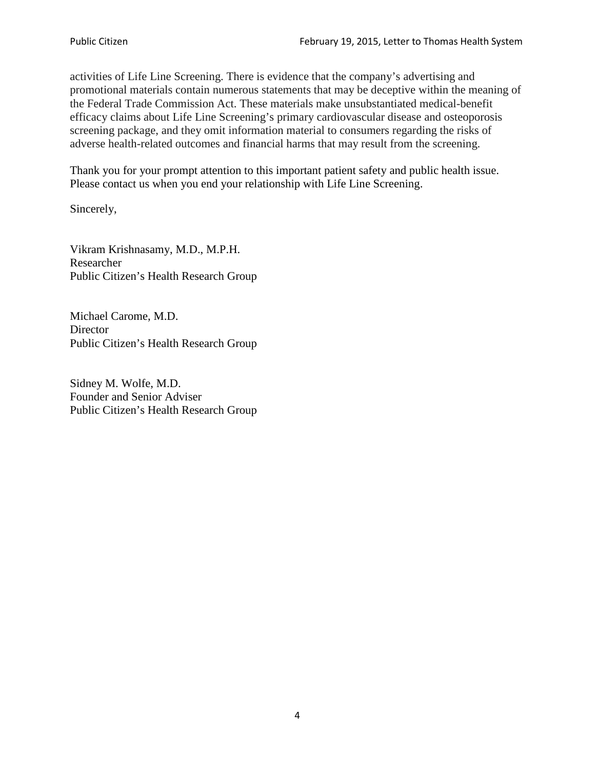activities of Life Line Screening. There is evidence that the company's advertising and promotional materials contain numerous statements that may be deceptive within the meaning of the Federal Trade Commission Act. These materials make unsubstantiated medical-benefit efficacy claims about Life Line Screening's primary cardiovascular disease and osteoporosis screening package, and they omit information material to consumers regarding the risks of adverse health-related outcomes and financial harms that may result from the screening.

Thank you for your prompt attention to this important patient safety and public health issue. Please contact us when you end your relationship with Life Line Screening.

Sincerely,

Vikram Krishnasamy, M.D., M.P.H. Researcher Public Citizen's Health Research Group

Michael Carome, M.D. **Director** Public Citizen's Health Research Group

Sidney M. Wolfe, M.D. Founder and Senior Adviser Public Citizen's Health Research Group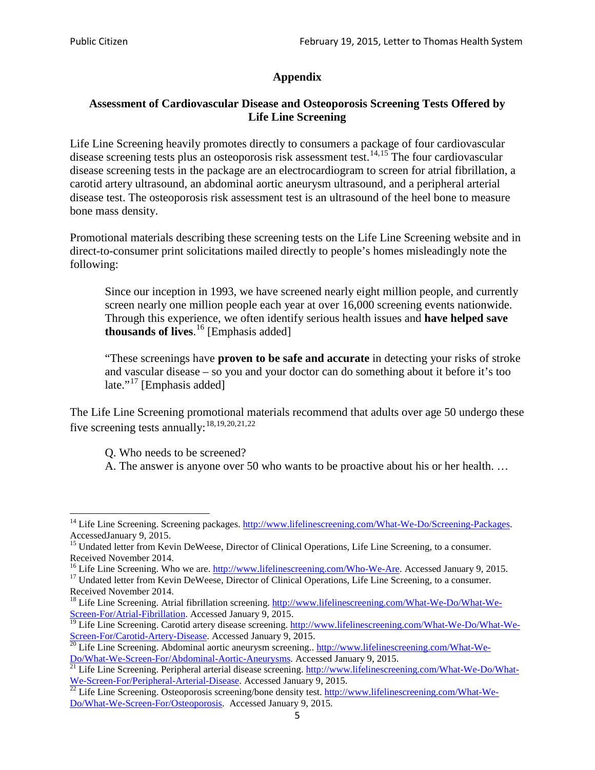# **Appendix**

# **Assessment of Cardiovascular Disease and Osteoporosis Screening Tests Offered by Life Line Screening**

Life Line Screening heavily promotes directly to consumers a package of four cardiovascular disease screening tests plus an osteoporosis risk assessment test.<sup>[14](#page-4-0),[15](#page-4-1)</sup> The four cardiovascular disease screening tests in the package are an electrocardiogram to screen for atrial fibrillation, a carotid artery ultrasound, an abdominal aortic aneurysm ultrasound, and a peripheral arterial disease test. The osteoporosis risk assessment test is an ultrasound of the heel bone to measure bone mass density.

Promotional materials describing these screening tests on the Life Line Screening website and in direct-to-consumer print solicitations mailed directly to people's homes misleadingly note the following:

Since our inception in 1993, we have screened nearly eight million people, and currently screen nearly one million people each year at over 16,000 screening events nationwide. Through this experience, we often identify serious health issues and **have helped save thousands of lives**. [16](#page-4-2) [Emphasis added]

"These screenings have **proven to be safe and accurate** in detecting your risks of stroke and vascular disease – so you and your doctor can do something about it before it's too late."<sup>[17](#page-4-3)</sup> [Emphasis added]

The Life Line Screening promotional materials recommend that adults over age 50 undergo these five screening tests annually:<sup>[18](#page-4-4),[19,](#page-4-5)[20,](#page-4-6)[21](#page-4-7),[22](#page-4-8)</sup>

Q. Who needs to be screened?

A. The answer is anyone over 50 who wants to be proactive about his or her health. …

<span id="page-4-0"></span><sup>&</sup>lt;sup>14</sup> Life Line Screening. Screening packages. [http://www.lifelinescreening.com/What-We-Do/Screening-Packages.](http://www.lifelinescreening.com/What-We-Do/Screening-Packages) AccessedJanuary 9, 2015.

<span id="page-4-1"></span><sup>&</sup>lt;sup>15</sup> Undated letter from Kevin DeWeese, Director of Clinical Operations, Life Line Screening, to a consumer.

Received November 2014.<br><sup>16</sup> Life Line Screening. Who we are. http://www.lifelinescreening.com/Who-We-Are. Accessed January 9, 2015.

<span id="page-4-3"></span><span id="page-4-2"></span><sup>&</sup>lt;sup>17</sup> Undated letter from Kevin DeWeese, Director of Clinical Operations, Life Line Screening, to a consumer. Received November 2014.

<span id="page-4-4"></span><sup>&</sup>lt;sup>18</sup> Life Line Screening. Atrial fibrillation screening. [http://www.lifelinescreening.com/What-We-Do/What-We-](http://www.lifelinescreening.com/What-We-Do/What-We-Screen-For/Atrial-Fibrillation)[Screen-For/Atrial-Fibrillation.](http://www.lifelinescreening.com/What-We-Do/What-We-Screen-For/Atrial-Fibrillation) Accessed January 9, 2015.

<sup>&</sup>lt;sup>19</sup> Life Line Screening. Carotid artery disease screening. [http://www.lifelinescreening.com/What-We-Do/What-We-](http://www.lifelinescreening.com/What-We-Do/What-We-Screen-For/Carotid-Artery-Disease)

<span id="page-4-6"></span><span id="page-4-5"></span>[Screen-For/Carotid-Artery-Disease.](http://www.lifelinescreening.com/What-We-Do/What-We-Screen-For/Carotid-Artery-Disease) Accessed January 9, 2015.<br><sup>20</sup> Life Line Screening. Abdominal aortic aneurysm screening.. http://www.lifelinescreening.com/What-We-Do/What-We-Do/What-We-Screen-For/Abdominal-Aortic-Aneury

<span id="page-4-7"></span><sup>&</sup>lt;sup>21</sup> Life Line Screening. Peripheral arterial disease screening. [http://www.lifelinescreening.com/What-We-Do/What-](http://www.lifelinescreening.com/What-We-Do/What-We-Screen-For/Peripheral-Arterial-Disease)

<span id="page-4-8"></span>[We-Screen-For/Peripheral-Arterial-Disease.](http://www.lifelinescreening.com/What-We-Do/What-We-Screen-For/Peripheral-Arterial-Disease) Accessed January 9, 2015.<br><sup>22</sup> Life Line Screening. Osteoporosis screening/bone density test. [http://www.lifelinescreening.com/What-We-](http://www.lifelinescreening.com/What-We-Do/What-We-Screen-For/Osteoporosis)[Do/What-We-Screen-For/Osteoporosis.](http://www.lifelinescreening.com/What-We-Do/What-We-Screen-For/Osteoporosis) Accessed January 9, 2015.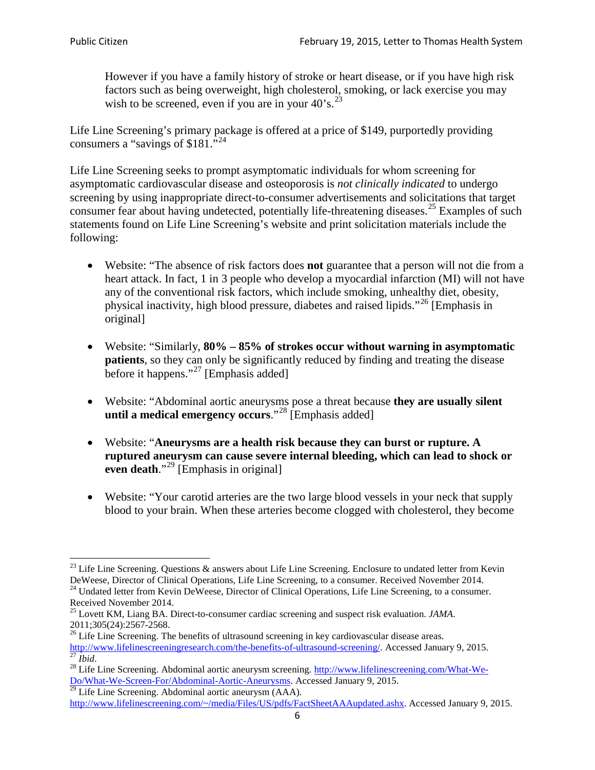However if you have a family history of stroke or heart disease, or if you have high risk factors such as being overweight, high cholesterol, smoking, or lack exercise you may wish to be screened, even if you are in your  $40^{\circ}$ s.<sup>[23](#page-5-0)</sup>

Life Line Screening's primary package is offered at a price of \$149, purportedly providing consumers a "savings of \$181."<sup>[24](#page-5-1)</sup>

Life Line Screening seeks to prompt asymptomatic individuals for whom screening for asymptomatic cardiovascular disease and osteoporosis is *not clinically indicated* to undergo screening by using inappropriate direct-to-consumer advertisements and solicitations that target consumer fear about having undetected, potentially life-threatening diseases.<sup>[25](#page-5-2)</sup> Examples of such statements found on Life Line Screening's website and print solicitation materials include the following:

- Website: "The absence of risk factors does **not** guarantee that a person will not die from a heart attack. In fact, 1 in 3 people who develop a myocardial infarction (MI) will not have any of the conventional risk factors, which include smoking, unhealthy diet, obesity, physical inactivity, high blood pressure, diabetes and raised lipids."[26](#page-5-3) [Emphasis in original]
- Website: "Similarly, **80% – 85% of strokes occur without warning in asymptomatic patients**, so they can only be significantly reduced by finding and treating the disease before it happens."<sup>[27](#page-5-4)</sup> [Emphasis added]
- Website: "Abdominal aortic aneurysms pose a threat because **they are usually silent until a medical emergency occurs**."[28](#page-5-5) [Emphasis added]
- Website: "**Aneurysms are a health risk because they can burst or rupture. A ruptured aneurysm can cause severe internal bleeding, which can lead to shock or even death.**"<sup>[29](#page-5-6)</sup> [Emphasis in original]
- Website: "Your carotid arteries are the two large blood vessels in your neck that supply blood to your brain. When these arteries become clogged with cholesterol, they become

<span id="page-5-0"></span><sup>&</sup>lt;sup>23</sup> Life Line Screening. Questions  $\&$  answers about Life Line Screening. Enclosure to undated letter from Kevin DeWeese, Director of Clinical Operations, Life Line Screening, to a consumer. Received November 2014.

<sup>&</sup>lt;sup>24</sup> Undated letter from Kevin DeWeese, Director of Clinical Operations, Life Line Screening, to a consumer.

<span id="page-5-2"></span><span id="page-5-1"></span>Received November 2014.<br><sup>25</sup> Lovett KM, Liang BA. Direct-to-consumer cardiac screening and suspect risk evaluation. *JAMA*.<br>2011;305(24):2567-2568.

<span id="page-5-3"></span> $26$  Life Line Screening. The benefits of ultrasound screening in key cardiovascular disease areas. [http://www.lifelinescreeningresearch.com/the-benefits-of-ultrasound-screening/.](http://www.lifelinescreeningresearch.com/the-benefits-of-ultrasound-screening/) Accessed January 9, 2015.<br><sup>28</sup> Life Line Screening. Abdominal aortic aneurysm screening. [http://www.lifelinescreening.com/What-We-](http://www.lifelinescreening.com/What-We-Do/What-We-Screen-For/Abdominal-Aortic-Aneurysms)

<span id="page-5-5"></span><span id="page-5-4"></span>[Do/What-We-Screen-For/Abdominal-Aortic-Aneurysms.](http://www.lifelinescreening.com/What-We-Do/What-We-Screen-For/Abdominal-Aortic-Aneurysms) Accessed January 9, 2015. <sup>29</sup> Life Line Screening. Abdominal aortic aneurysm (AAA).

<span id="page-5-6"></span>[http://www.lifelinescreening.com/~/media/Files/US/pdfs/FactSheetAAAupdated.ashx.](http://www.lifelinescreening.com/~/media/Files/US/pdfs/FactSheetAAAupdated.ashx) Accessed January 9, 2015.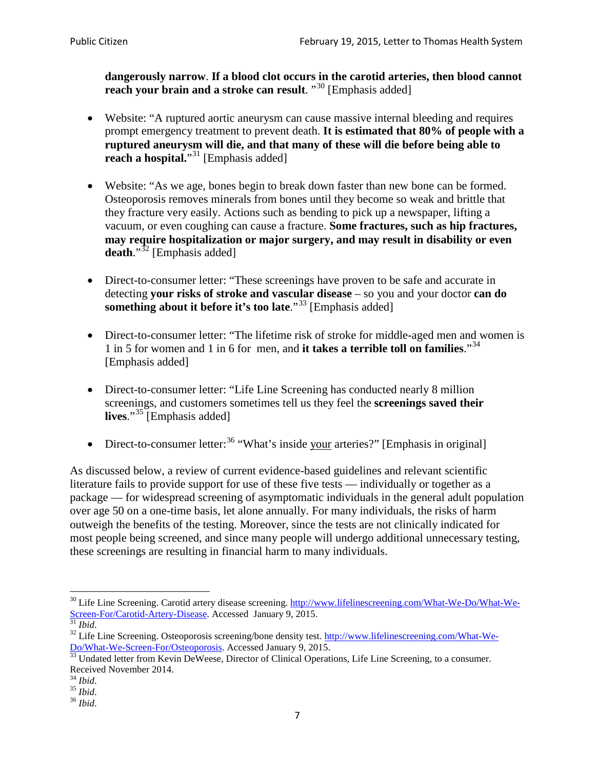**dangerously narrow**. **If a blood clot occurs in the carotid arteries, then blood cannot reach your brain and a stroke can result**. "<sup>[30](#page-6-0)</sup> [Emphasis added]

- Website: "A ruptured aortic aneurysm can cause massive internal bleeding and requires prompt emergency treatment to prevent death. **It is estimated that 80% of people with a ruptured aneurysm will die, and that many of these will die before being able to reach a hospital.**"<sup>[31](#page-6-1)</sup> [Emphasis added]
- Website: "As we age, bones begin to break down faster than new bone can be formed. Osteoporosis removes minerals from bones until they become so weak and brittle that they fracture very easily. Actions such as bending to pick up a newspaper, lifting a vacuum, or even coughing can cause a fracture. **Some fractures, such as hip fractures, may require hospitalization or major surgery, and may result in disability or even**  death."<sup>[32](#page-6-2)</sup> [Emphasis added]
- Direct-to-consumer letter: "These screenings have proven to be safe and accurate in detecting **your risks of stroke and vascular disease** – so you and your doctor **can do something about it before it's too late**."<sup>[33](#page-6-3)</sup> [Emphasis added]
- Direct-to-consumer letter: "The lifetime risk of stroke for middle-aged men and women is 1 in 5 for women and 1 in 6 for men, and **it takes a terrible toll on families**."[34](#page-6-4) [Emphasis added]
- Direct-to-consumer letter: "Life Line Screening has conducted nearly 8 million screenings, and customers sometimes tell us they feel the **screenings saved their lives**."[35](#page-6-5) [Emphasis added]
- Direct-to-consumer letter:  $36$  "What's inside your arteries?" [Emphasis in original]

As discussed below, a review of current evidence-based guidelines and relevant scientific literature fails to provide support for use of these five tests — individually or together as a package — for widespread screening of asymptomatic individuals in the general adult population over age 50 on a one-time basis, let alone annually. For many individuals, the risks of harm outweigh the benefits of the testing. Moreover, since the tests are not clinically indicated for most people being screened, and since many people will undergo additional unnecessary testing, these screenings are resulting in financial harm to many individuals.

<span id="page-6-0"></span><sup>&</sup>lt;sup>30</sup> Life Line Screening. Carotid artery disease screening. [http://www.lifelinescreening.com/What-We-Do/What-We-](http://www.lifelinescreening.com/What-We-Do/What-We-Screen-For/Carotid-Artery-Disease)[Screen-For/Carotid-Artery-Disease.](http://www.lifelinescreening.com/What-We-Do/What-We-Screen-For/Carotid-Artery-Disease) Accessed January 9, 2015.<br><sup>31</sup> *Ibid.* 32 Life Line Screening. Osteoporosis screening/bone density test. [http://www.lifelinescreening.com/What-We-](http://www.lifelinescreening.com/What-We-Do/What-We-Screen-For/Osteoporosis)

<span id="page-6-2"></span><span id="page-6-1"></span>[Do/What-We-Screen-For/Osteoporosis.](http://www.lifelinescreening.com/What-We-Do/What-We-Screen-For/Osteoporosis) Accessed January 9, 2015. <sup>33</sup> Undated letter from Kevin DeWeese, Director of Clinical Operations, Life Line Screening, to a consumer.

<span id="page-6-3"></span>Received November 2014.<br><sup>34</sup> Ibid.

<span id="page-6-4"></span>

<span id="page-6-5"></span><sup>34</sup> *Ibid*. 35 *Ibid*. 36 *Ibid*.

<span id="page-6-6"></span>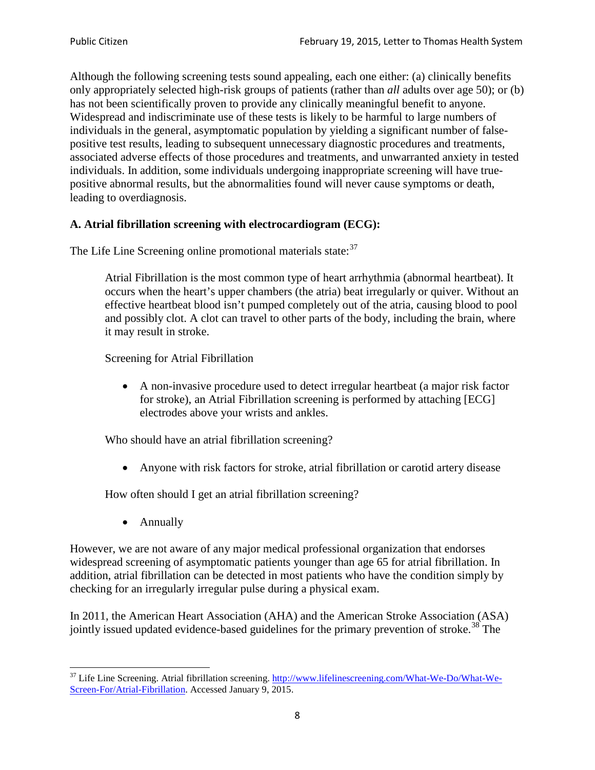Although the following screening tests sound appealing, each one either: (a) clinically benefits only appropriately selected high-risk groups of patients (rather than *all* adults over age 50); or (b) has not been scientifically proven to provide any clinically meaningful benefit to anyone. Widespread and indiscriminate use of these tests is likely to be harmful to large numbers of individuals in the general, asymptomatic population by yielding a significant number of falsepositive test results, leading to subsequent unnecessary diagnostic procedures and treatments, associated adverse effects of those procedures and treatments, and unwarranted anxiety in tested individuals. In addition, some individuals undergoing inappropriate screening will have truepositive abnormal results, but the abnormalities found will never cause symptoms or death, leading to overdiagnosis.

# **A. Atrial fibrillation screening with electrocardiogram (ECG):**

The Life Line Screening online promotional materials state:<sup>[37](#page-7-0)</sup>

Atrial Fibrillation is the most common type of heart arrhythmia (abnormal heartbeat). It occurs when the heart's upper chambers (the atria) beat irregularly or quiver. Without an effective heartbeat blood isn't pumped completely out of the atria, causing blood to pool and possibly clot. A clot can travel to other parts of the body, including the brain, where it may result in stroke.

Screening for Atrial Fibrillation

• A non-invasive procedure used to detect irregular heartbeat (a major risk factor for stroke), an Atrial Fibrillation screening is performed by attaching [ECG] electrodes above your wrists and ankles.

Who should have an atrial fibrillation screening?

• Anyone with risk factors for stroke, atrial fibrillation or carotid artery disease

How often should I get an atrial fibrillation screening?

• Annually

<span id="page-7-1"></span>However, we are not aware of any major medical professional organization that endorses widespread screening of asymptomatic patients younger than age 65 for atrial fibrillation. In addition, atrial fibrillation can be detected in most patients who have the condition simply by checking for an irregularly irregular pulse during a physical exam.

In 2011, the American Heart Association (AHA) and the American Stroke Association (ASA) jointly issued updated evidence-based guidelines for the primary prevention of stroke.<sup>[38](#page-7-1)</sup> The

<span id="page-7-0"></span><sup>&</sup>lt;sup>37</sup> Life Line Screening. Atrial fibrillation screening. [http://www.lifelinescreening.com/What-We-Do/What-We-](http://www.lifelinescreening.com/What-We-Do/What-We-Screen-For/Atrial-Fibrillation)[Screen-For/Atrial-Fibrillation.](http://www.lifelinescreening.com/What-We-Do/What-We-Screen-For/Atrial-Fibrillation) Accessed January 9, 2015.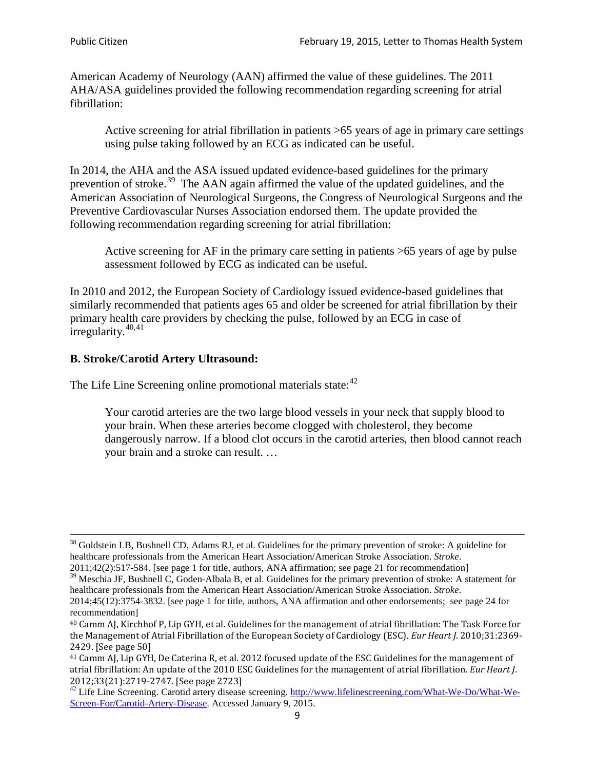American Academy of Neurology (AAN) affirmed the value of these guidelines. The 2011 AHA/ASA guidelines provided the following recommendation regarding screening for atrial fibrillation:

Active screening for atrial fibrillation in patients >65 years of age in primary care settings using pulse taking followed by an ECG as indicated can be useful.

In 2014, the AHA and the ASA issued updated evidence-based guidelines for the primary prevention of stroke.<sup>[39](#page-8-0)</sup> The AAN again affirmed the value of the updated guidelines, and the American Association of Neurological Surgeons, the Congress of Neurological Surgeons and the Preventive Cardiovascular Nurses Association endorsed them. The update provided the following recommendation regarding screening for atrial fibrillation:

Active screening for AF in the primary care setting in patients >65 years of age by pulse assessment followed by ECG as indicated can be useful.

In 2010 and 2012, the European Society of Cardiology issued evidence-based guidelines that similarly recommended that patients ages 65 and older be screened for atrial fibrillation by their primary health care providers by checking the pulse, followed by an ECG in case of irregularity. $40,41$  $40,41$ 

# **B. Stroke/Carotid Artery Ultrasound:**

The Life Line Screening online promotional materials state:<sup>[42](#page-8-3)</sup>

Your carotid arteries are the two large blood vessels in your neck that supply blood to your brain. When these arteries become clogged with cholesterol, they become dangerously narrow. If a blood clot occurs in the carotid arteries, then blood cannot reach your brain and a stroke can result. …

<sup>&</sup>lt;sup>38</sup> Goldstein LB, Bushnell CD, Adams RJ, et al. Guidelines for the primary prevention of stroke: A guideline for healthcare professionals from the American Heart Association/American Stroke Association. *Stroke*.

<sup>2011;42(2):517-584.</sup> [see page 1 for title, authors, ANA affirmation; see page 21 for recommendation]

<span id="page-8-0"></span> $\frac{2011,42(2)(317,601)}{39}$  Meschia JF, Bushnell C, Goden-Albala B, et al. Guidelines for the primary prevention of stroke: A statement for healthcare professionals from the American Heart Association/American Stroke Association. *Stroke*.

<sup>2014;45(12):3754-3832.</sup> [see page 1 for title, authors, ANA affirmation and other endorsements; see page 24 for recommendation]

<span id="page-8-1"></span><sup>40</sup> Camm AJ, Kirchhof P, Lip GYH, et al. Guidelines for the management of atrial fibrillation: The Task Force for the Management of Atrial Fibrillation of the European Society of Cardiology (ESC). *Eur Heart J*. 2010;31:2369- 2429. [See page 50]

<span id="page-8-2"></span><sup>41</sup> Camm AJ, Lip GYH, De Caterina R, et al. 2012 focused update of the ESC Guidelines for the management of atrial fibrillation: An update of the 2010 ESC Guidelines for the management of atrial fibrillation. *Eur Heart J*.

<span id="page-8-3"></span><sup>&</sup>lt;sup>2012</sup>;23(21):2719-2747. [See page 2733] 42 Life Line Screening. [http://www.lifelinescreening.com/What-We-Do/What-We-](http://www.lifelinescreening.com/What-We-Do/What-We-Screen-For/Carotid-Artery-Disease)[Screen-For/Carotid-Artery-Disease.](http://www.lifelinescreening.com/What-We-Do/What-We-Screen-For/Carotid-Artery-Disease) Accessed January 9, 2015.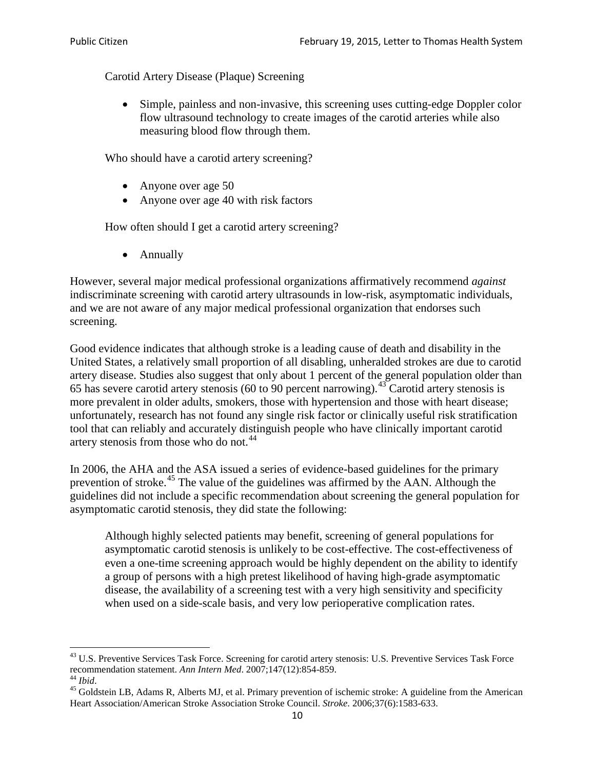Carotid Artery Disease (Plaque) Screening

• Simple, painless and non-invasive, this screening uses cutting-edge Doppler color flow ultrasound technology to create images of the carotid arteries while also measuring blood flow through them.

Who should have a carotid artery screening?

- Anyone over age 50
- Anyone over age 40 with risk factors

How often should I get a carotid artery screening?

• Annually

However, several major medical professional organizations affirmatively recommend *against* indiscriminate screening with carotid artery ultrasounds in low-risk, asymptomatic individuals, and we are not aware of any major medical professional organization that endorses such screening.

Good evidence indicates that although stroke is a leading cause of death and disability in the United States, a relatively small proportion of all disabling, unheralded strokes are due to carotid artery disease. Studies also suggest that only about 1 percent of the general population older than 65 has severe carotid artery stenosis (60 to 90 percent narrowing).<sup>[43](#page-9-0)</sup> Carotid artery stenosis is more prevalent in older adults, smokers, those with hypertension and those with heart disease; unfortunately, research has not found any single risk factor or clinically useful risk stratification tool that can reliably and accurately distinguish people who have clinically important carotid artery stenosis from those who do not.<sup>[44](#page-9-1)</sup>

In 2006, the AHA and the ASA issued a series of evidence-based guidelines for the primary prevention of stroke.<sup>[45](#page-9-2)</sup> The value of the guidelines was affirmed by the AAN. Although the guidelines did not include a specific recommendation about screening the general population for asymptomatic carotid stenosis, they did state the following:

Although highly selected patients may benefit, screening of general populations for asymptomatic carotid stenosis is unlikely to be cost-effective. The cost-effectiveness of even a one-time screening approach would be highly dependent on the ability to identify a group of persons with a high pretest likelihood of having high-grade asymptomatic disease, the availability of a screening test with a very high sensitivity and specificity when used on a side-scale basis, and very low perioperative complication rates.

<span id="page-9-0"></span> $^{43}$  U.S. Preventive Services Task Force. Screening for carotid artery stenosis: U.S. Preventive Services Task Force recommendation statement. Ann Intern Med. 2007;147(12):854-859.

<span id="page-9-2"></span><span id="page-9-1"></span><sup>&</sup>lt;sup>44</sup> *Ibid*. <sup>45</sup> Goldstein LB, Adams R, Alberts MJ, et al. Primary prevention of ischemic stroke: A guideline from the American <sup>45</sup> Goldstein LB, Adams R, Alberts MJ, et al. Primary prevention of ischemic stroke: A guide Heart Association/American Stroke Association Stroke Council. *Stroke*. 2006;37(6):1583-633.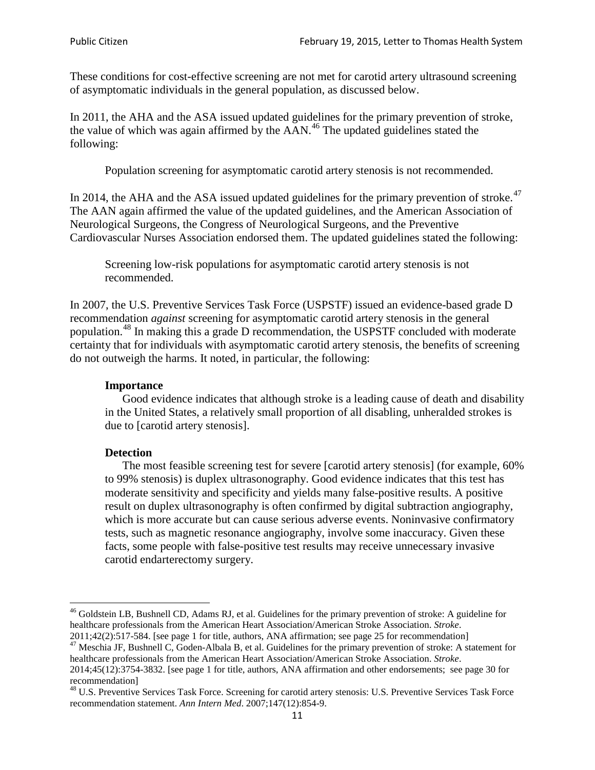These conditions for cost-effective screening are not met for carotid artery ultrasound screening of asymptomatic individuals in the general population, as discussed below.

In 2011, the AHA and the ASA issued updated guidelines for the primary prevention of stroke, the value of which was again affirmed by the  $AAN<sup>46</sup>$  $AAN<sup>46</sup>$  $AAN<sup>46</sup>$ . The updated guidelines stated the following:

Population screening for asymptomatic carotid artery stenosis is not recommended.

In 2014, the AHA and the ASA issued updated guidelines for the primary prevention of stroke.<sup>47</sup> The AAN again affirmed the value of the updated guidelines, and the American Association of Neurological Surgeons, the Congress of Neurological Surgeons, and the Preventive Cardiovascular Nurses Association endorsed them. The updated guidelines stated the following:

Screening low-risk populations for asymptomatic carotid artery stenosis is not recommended.

In 2007, the U.S. Preventive Services Task Force (USPSTF) issued an evidence-based grade D recommendation *against* screening for asymptomatic carotid artery stenosis in the general population.[48](#page-10-2) In making this a grade D recommendation, the USPSTF concluded with moderate certainty that for individuals with asymptomatic carotid artery stenosis, the benefits of screening do not outweigh the harms. It noted, in particular, the following:

#### **Importance**

Good evidence indicates that although stroke is a leading cause of death and disability in the United States, a relatively small proportion of all disabling, unheralded strokes is due to [carotid artery stenosis].

#### **Detection**

The most feasible screening test for severe [carotid artery stenosis] (for example, 60% to 99% stenosis) is duplex ultrasonography. Good evidence indicates that this test has moderate sensitivity and specificity and yields many false-positive results. A positive result on duplex ultrasonography is often confirmed by digital subtraction angiography, which is more accurate but can cause serious adverse events. Noninvasive confirmatory tests, such as magnetic resonance angiography, involve some inaccuracy. Given these facts, some people with false-positive test results may receive unnecessary invasive carotid endarterectomy surgery.

<span id="page-10-0"></span><sup>&</sup>lt;sup>46</sup> Goldstein LB, Bushnell CD, Adams RJ, et al. Guidelines for the primary prevention of stroke: A guideline for healthcare professionals from the American Heart Association/American Stroke Association. *Stroke*.<br>2011;42(2):517-584. [see page 1 for title, authors, ANA affirmation; see page 25 for recommendation]

<span id="page-10-1"></span><sup>&</sup>lt;sup>47</sup> Meschia JF, Bushnell C, Goden-Albala B, et al. Guidelines for the primary prevention of stroke: A statement for healthcare professionals from the American Heart Association/American Stroke Association. *Stroke*. 2014;45(12):3754-3832. [see page 1 for title, authors, ANA affirmation and other endorsements; see page 30 for

recommendation]

<span id="page-10-2"></span><sup>&</sup>lt;sup>48</sup> U.S. Preventive Services Task Force. Screening for carotid artery stenosis: U.S. Preventive Services Task Force recommendation statement. *Ann Intern Med*. 2007;147(12):854-9.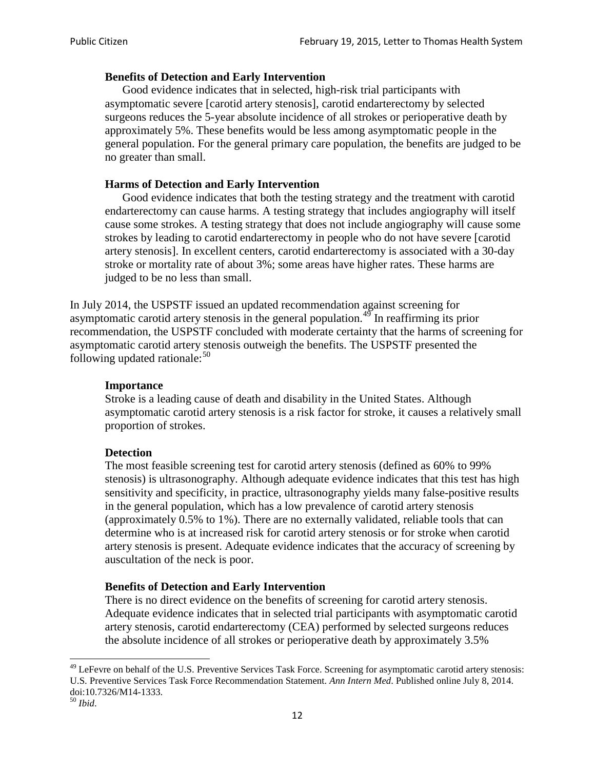#### **Benefits of Detection and Early Intervention**

Good evidence indicates that in selected, high-risk trial participants with asymptomatic severe [carotid artery stenosis], carotid endarterectomy by selected surgeons reduces the 5-year absolute incidence of all strokes or perioperative death by approximately 5%. These benefits would be less among asymptomatic people in the general population. For the general primary care population, the benefits are judged to be no greater than small.

### **Harms of Detection and Early Intervention**

Good evidence indicates that both the testing strategy and the treatment with carotid endarterectomy can cause harms. A testing strategy that includes angiography will itself cause some strokes. A testing strategy that does not include angiography will cause some strokes by leading to carotid endarterectomy in people who do not have severe [carotid artery stenosis]. In excellent centers, carotid endarterectomy is associated with a 30-day stroke or mortality rate of about 3%; some areas have higher rates. These harms are judged to be no less than small.

In July 2014, the USPSTF issued an updated recommendation against screening for asymptomatic carotid artery stenosis in the general population.<sup>[49](#page-11-0)</sup> In reaffirming its prior recommendation, the USPSTF concluded with moderate certainty that the harms of screening for asymptomatic carotid artery stenosis outweigh the benefits. The USPSTF presented the following updated rationale: $50$ 

#### **Importance**

Stroke is a leading cause of death and disability in the United States. Although asymptomatic carotid artery stenosis is a risk factor for stroke, it causes a relatively small proportion of strokes.

#### **Detection**

The most feasible screening test for carotid artery stenosis (defined as 60% to 99% stenosis) is ultrasonography. Although adequate evidence indicates that this test has high sensitivity and specificity, in practice, ultrasonography yields many false-positive results in the general population, which has a low prevalence of carotid artery stenosis (approximately 0.5% to 1%). There are no externally validated, reliable tools that can determine who is at increased risk for carotid artery stenosis or for stroke when carotid artery stenosis is present. Adequate evidence indicates that the accuracy of screening by auscultation of the neck is poor.

### **Benefits of Detection and Early Intervention**

There is no direct evidence on the benefits of screening for carotid artery stenosis. Adequate evidence indicates that in selected trial participants with asymptomatic carotid artery stenosis, carotid endarterectomy (CEA) performed by selected surgeons reduces the absolute incidence of all strokes or perioperative death by approximately 3.5%

<span id="page-11-0"></span><sup>&</sup>lt;sup>49</sup> LeFevre on behalf of the U.S. Preventive Services Task Force. Screening for asymptomatic carotid artery stenosis: U.S. Preventive Services Task Force Recommendation Statement. *Ann Intern Med*. Published online July 8, 2014. doi:10.7326/M14-1333. <sup>50</sup> *Ibid*.

<span id="page-11-1"></span>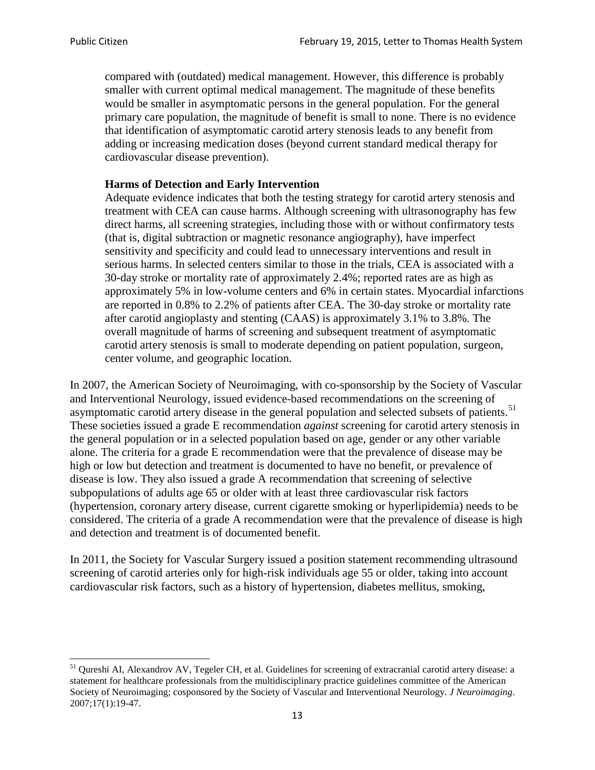compared with (outdated) medical management. However, this difference is probably smaller with current optimal medical management. The magnitude of these benefits would be smaller in asymptomatic persons in the general population. For the general primary care population, the magnitude of benefit is small to none. There is no evidence that identification of asymptomatic carotid artery stenosis leads to any benefit from adding or increasing medication doses (beyond current standard medical therapy for cardiovascular disease prevention).

### **Harms of Detection and Early Intervention**

Adequate evidence indicates that both the testing strategy for carotid artery stenosis and treatment with CEA can cause harms. Although screening with ultrasonography has few direct harms, all screening strategies, including those with or without confirmatory tests (that is, digital subtraction or magnetic resonance angiography), have imperfect sensitivity and specificity and could lead to unnecessary interventions and result in serious harms. In selected centers similar to those in the trials, CEA is associated with a 30-day stroke or mortality rate of approximately 2.4%; reported rates are as high as approximately 5% in low-volume centers and 6% in certain states. Myocardial infarctions are reported in 0.8% to 2.2% of patients after CEA. The 30-day stroke or mortality rate after carotid angioplasty and stenting (CAAS) is approximately 3.1% to 3.8%. The overall magnitude of harms of screening and subsequent treatment of asymptomatic carotid artery stenosis is small to moderate depending on patient population, surgeon, center volume, and geographic location.

In 2007, the American Society of Neuroimaging, with co-sponsorship by the Society of Vascular and Interventional Neurology, issued evidence-based recommendations on the screening of asymptomatic carotid artery disease in the general population and selected subsets of patients.<sup>[51](#page-12-0)</sup> These societies issued a grade E recommendation *against* screening for carotid artery stenosis in the general population or in a selected population based on age, gender or any other variable alone. The criteria for a grade E recommendation were that the prevalence of disease may be high or low but detection and treatment is documented to have no benefit, or prevalence of disease is low. They also issued a grade A recommendation that screening of selective subpopulations of adults age 65 or older with at least three cardiovascular risk factors (hypertension, coronary artery disease, current cigarette smoking or hyperlipidemia) needs to be considered. The criteria of a grade A recommendation were that the prevalence of disease is high and detection and treatment is of documented benefit.

In 2011, the Society for Vascular Surgery issued a position statement recommending ultrasound screening of carotid arteries only for high-risk individuals age 55 or older, taking into account cardiovascular risk factors, such as a history of hypertension, diabetes mellitus, smoking,

<span id="page-12-0"></span><sup>&</sup>lt;sup>51</sup> Qureshi AI, Alexandrov AV, Tegeler CH, et al. Guidelines for screening of extracranial carotid artery disease: a statement for healthcare professionals from the multidisciplinary practice guidelines committee of the American Society of Neuroimaging; cosponsored by the Society of Vascular and Interventional Neurology. *J Neuroimaging*. 2007;17(1):19-47.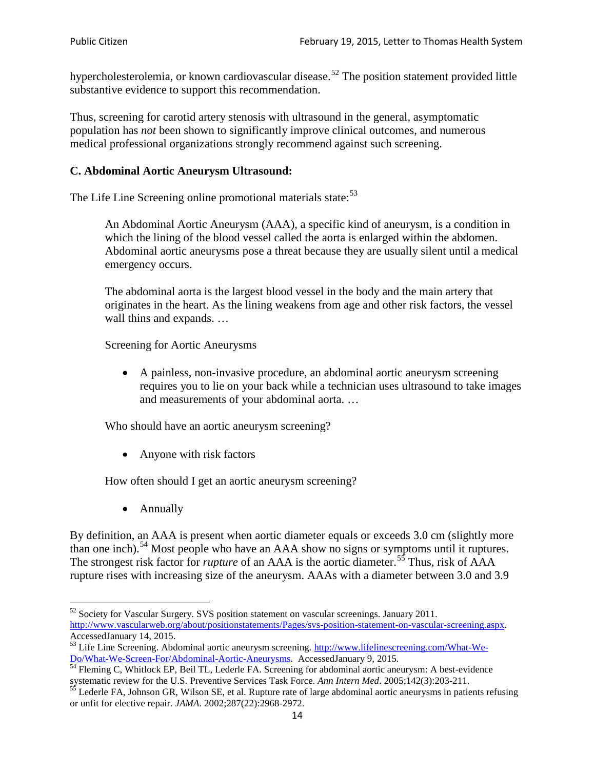hypercholesterolemia, or known cardiovascular disease.<sup>[52](#page-13-0)</sup> The position statement provided little substantive evidence to support this recommendation.

Thus, screening for carotid artery stenosis with ultrasound in the general, asymptomatic population has *not* been shown to significantly improve clinical outcomes, and numerous medical professional organizations strongly recommend against such screening.

### **C. Abdominal Aortic Aneurysm Ultrasound:**

The Life Line Screening online promotional materials state:<sup>[53](#page-13-1)</sup>

An Abdominal Aortic Aneurysm (AAA), a specific kind of aneurysm, is a condition in which the lining of the blood vessel called the aorta is enlarged within the abdomen. Abdominal aortic aneurysms pose a threat because they are usually silent until a medical emergency occurs.

The abdominal aorta is the largest blood vessel in the body and the main artery that originates in the heart. As the lining weakens from age and other risk factors, the vessel wall thins and expands. …

Screening for Aortic Aneurysms

• A painless, non-invasive procedure, an abdominal aortic aneurysm screening requires you to lie on your back while a technician uses ultrasound to take images and measurements of your abdominal aorta. …

Who should have an aortic aneurysm screening?

• Anyone with risk factors

How often should I get an aortic aneurysm screening?

• Annually

By definition, an AAA is present when aortic diameter equals or exceeds 3.0 cm (slightly more than one inch).<sup>[54](#page-13-2)</sup> Most people who have an AAA show no signs or symptoms until it ruptures. The strongest risk factor for *rupture* of an AAA is the aortic diameter.<sup>[55](#page-13-3)</sup> Thus, risk of AAA rupture rises with increasing size of the aneurysm. AAAs with a diameter between 3.0 and 3.9

<span id="page-13-0"></span> $52$  Society for Vascular Surgery. SVS position statement on vascular screenings. January 2011. http://www.vascularweb.org/about/positionstatements/Pages/svs-position-statement-on-vascular-screening.aspx.<br>Accessed January 14, 2015.

<span id="page-13-1"></span>Accessed January 14, 2015.<br>
Sa Life Line Screening. Abdominal aortic aneurysm screening. http://www.lifelinescreening.com/What-We-<br>
Do/What-We-Screen-For/Abdominal-Aortic-Aneurysms. Accessed January 9, 2015.

<span id="page-13-2"></span> $\frac{1}{54}$  Fleming C, Whitlock EP, Beil TL, Lederle FA. Screening for abdominal aortic aneurysm: A best-evidence systematic review for the U.S. Preventive Services Task Force. *Ann Intern Med.* 2005;142(3):203-211.<br><sup>55</sup> Lederle FA, Johnson GR, Wilson SE, et al. Rupture rate of large abdominal aortic aneurysms in patients refusing

<span id="page-13-3"></span>or unfit for elective repair. *JAMA*. 2002;287(22):2968-2972.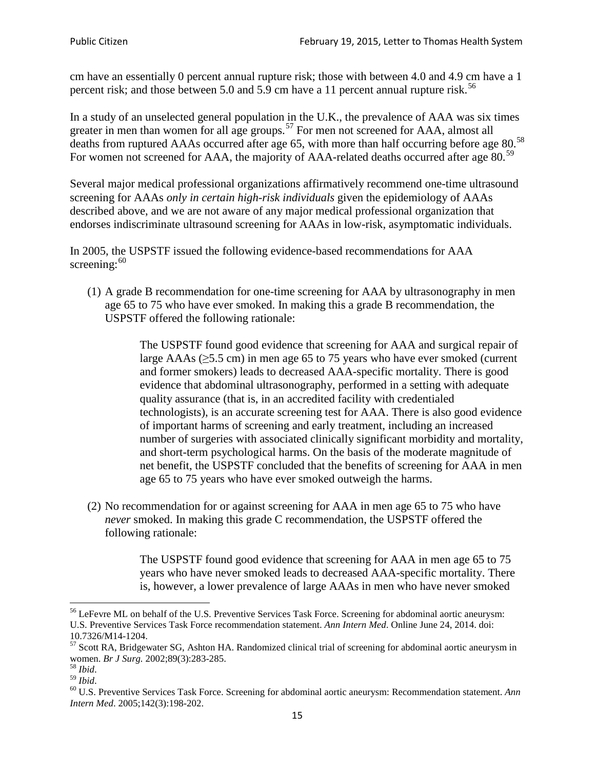cm have an essentially 0 percent annual rupture risk; those with between 4.0 and 4.9 cm have a 1 percent risk; and those between 5.0 and 5.9 cm have a 11 percent annual rupture risk.<sup>[56](#page-14-0)</sup>

In a study of an unselected general population in the U.K., the prevalence of AAA was six times greater in men than women for all age groups.<sup>[57](#page-14-1)</sup> For men not screened for  $AAA$ , almost all deaths from ruptured AAAs occurred after age 65, with more than half occurring before age 80.<sup>[58](#page-14-2)</sup> For women not screened for AAA, the majority of AAA-related deaths occurred after age 80.<sup>[59](#page-14-3)</sup>

Several major medical professional organizations affirmatively recommend one-time ultrasound screening for AAAs *only in certain high-risk individuals* given the epidemiology of AAAs described above, and we are not aware of any major medical professional organization that endorses indiscriminate ultrasound screening for AAAs in low-risk, asymptomatic individuals.

In 2005, the USPSTF issued the following evidence-based recommendations for AAA screening:  $60$ 

(1) A grade B recommendation for one-time screening for AAA by ultrasonography in men age 65 to 75 who have ever smoked. In making this a grade [B recommendation,](http://www.uspreventiveservicestaskforce.org/uspstf/gradespre.htm#brec) the USPSTF offered the following rationale:

> The USPSTF found good evidence that screening for AAA and surgical repair of large AAAs ( $\geq$ 5.5 cm) in men age 65 to 75 years who have ever smoked (current and former smokers) leads to decreased AAA-specific mortality. There is good evidence that abdominal ultrasonography, performed in a setting with adequate quality assurance (that is, in an accredited facility with credentialed technologists), is an accurate screening test for AAA. There is also good evidence of important harms of screening and early treatment, including an increased number of surgeries with associated clinically significant morbidity and mortality, and short-term psychological harms. On the basis of the moderate magnitude of net benefit, the USPSTF concluded that the benefits of screening for AAA in men age 65 to 75 years who have ever smoked outweigh the harms.

(2) No recommendation for or against screening for AAA in men age 65 to 75 who have *never* smoked. In making this grade C recommendation, the USPSTF offered the following rationale:

> The USPSTF found good evidence that screening for AAA in men age 65 to 75 years who have never smoked leads to decreased AAA-specific mortality. There is, however, a lower prevalence of large AAAs in men who have never smoked

<span id="page-14-0"></span><sup>&</sup>lt;sup>56</sup> LeFevre ML on behalf of the U.S. Preventive Services Task Force. Screening for abdominal aortic aneurysm: U.S. Preventive Services Task Force recommendation statement. *Ann Intern Med*. Online June 24, 2014. doi:

<span id="page-14-1"></span><sup>10.7326/</sup>M14-1204.<br> $57$  Scott RA, Bridgewater SG, Ashton HA. Randomized clinical trial of screening for abdominal aortic aneurysm in women. *Br J Surg.* 2002;89(3):283-285.

<span id="page-14-4"></span><span id="page-14-3"></span>

<span id="page-14-2"></span><sup>&</sup>lt;sup>58</sup> *Ibid.*<br><sup>59</sup> *Ibid.* 2002;<br><sup>60</sup> U.S. Preventive Services Task Force. Screening for abdominal aortic aneurysm: Recommendation statement. *Ann Intern Med*. 2005;142(3):198-202.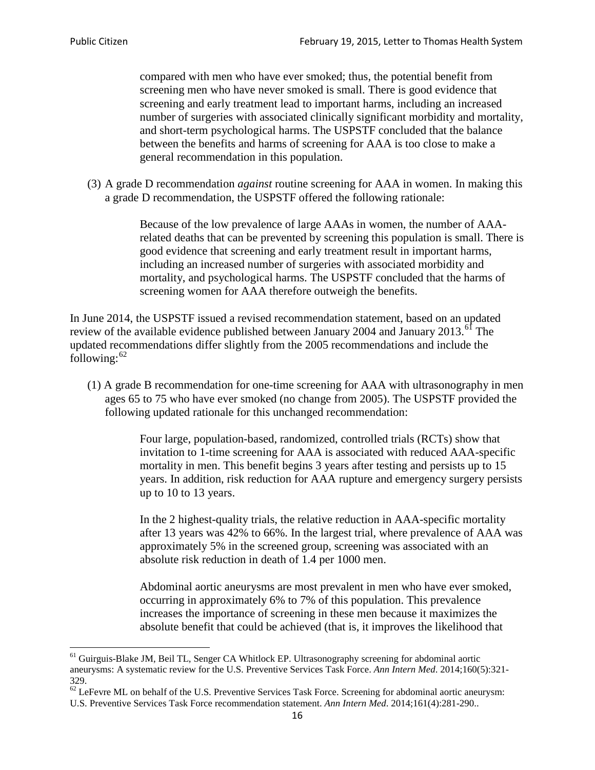compared with men who have ever smoked; thus, the potential benefit from screening men who have never smoked is small. There is good evidence that screening and early treatment lead to important harms, including an increased number of surgeries with associated clinically significant morbidity and mortality, and short-term psychological harms. The USPSTF concluded that the balance between the benefits and harms of screening for AAA is too close to make a general recommendation in this population.

(3) A grade D recommendation *against* routine screening for AAA in women. In making this a grade D recommendation, the USPSTF offered the following rationale:

> Because of the low prevalence of large AAAs in women, the number of AAArelated deaths that can be prevented by screening this population is small. There is good evidence that screening and early treatment result in important harms, including an increased number of surgeries with associated morbidity and mortality, and psychological harms. The USPSTF concluded that the harms of screening women for AAA therefore outweigh the benefits.

In June 2014, the USPSTF issued a revised recommendation statement, based on an updated review of the available evidence published between January 2004 and January 2013.<sup>[61](#page-15-0)</sup> The updated recommendations differ slightly from the 2005 recommendations and include the following: $62$ 

(1) A grade B recommendation for one-time screening for AAA with ultrasonography in men ages 65 to 75 who have ever smoked (no change from 2005). The USPSTF provided the following updated rationale for this unchanged recommendation:

> Four large, population-based, randomized, controlled trials (RCTs) show that invitation to 1-time screening for AAA is associated with reduced AAA-specific mortality in men. This benefit begins 3 years after testing and persists up to 15 years. In addition, risk reduction for AAA rupture and emergency surgery persists up to 10 to 13 years.

> In the 2 highest-quality trials, the relative reduction in AAA-specific mortality after 13 years was 42% to 66%. In the largest trial, where prevalence of AAA was approximately 5% in the screened group, screening was associated with an absolute risk reduction in death of 1.4 per 1000 men.

Abdominal aortic aneurysms are most prevalent in men who have ever smoked, occurring in approximately 6% to 7% of this population. This prevalence increases the importance of screening in these men because it maximizes the absolute benefit that could be achieved (that is, it improves the likelihood that

<span id="page-15-0"></span><sup>61</sup> Guirguis-Blake JM, Beil TL, Senger CA Whitlock EP. Ultrasonography screening for abdominal aortic aneurysms: A systematic review for the U.S. Preventive Services Task Force. *Ann Intern Med*. 2014;160(5):321- 329.

<span id="page-15-1"></span> $62$  LeFevre ML on behalf of the U.S. Preventive Services Task Force. Screening for abdominal aortic aneurysm: U.S. Preventive Services Task Force recommendation statement. *Ann Intern Med*. 2014;161(4):281-290..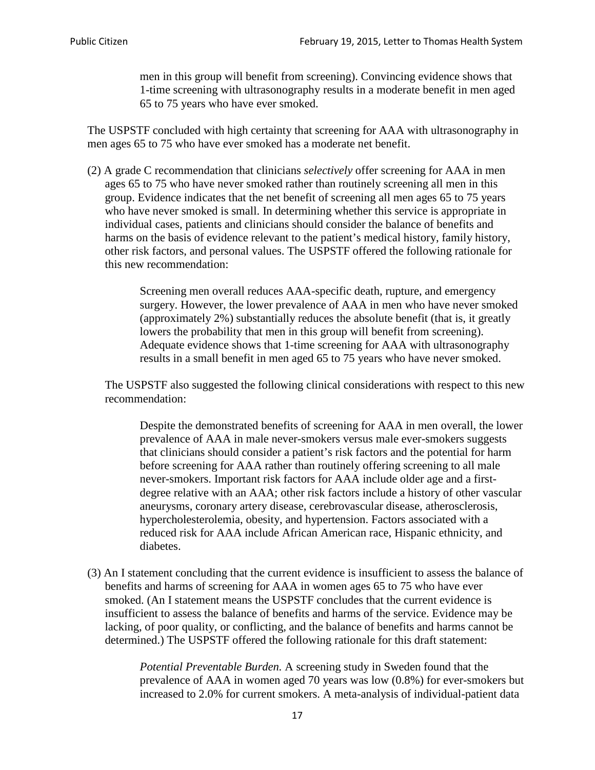men in this group will benefit from screening). Convincing evidence shows that 1-time screening with ultrasonography results in a moderate benefit in men aged 65 to 75 years who have ever smoked.

The USPSTF concluded with high certainty that screening for AAA with ultrasonography in men ages 65 to 75 who have ever smoked has a moderate net benefit.

(2) A grade C recommendation that clinicians *selectively* offer screening for AAA in men ages 65 to 75 who have never smoked rather than routinely screening all men in this group. Evidence indicates that the net benefit of screening all men ages 65 to 75 years who have never smoked is small. In determining whether this service is appropriate in individual cases, patients and clinicians should consider the balance of benefits and harms on the basis of evidence relevant to the patient's medical history, family history, other risk factors, and personal values. The USPSTF offered the following rationale for this new recommendation:

> Screening men overall reduces AAA-specific death, rupture, and emergency surgery. However, the lower prevalence of AAA in men who have never smoked (approximately 2%) substantially reduces the absolute benefit (that is, it greatly lowers the probability that men in this group will benefit from screening). Adequate evidence shows that 1-time screening for AAA with ultrasonography results in a small benefit in men aged 65 to 75 years who have never smoked.

The USPSTF also suggested the following clinical considerations with respect to this new recommendation:

Despite the demonstrated benefits of screening for AAA in men overall, the lower prevalence of AAA in male never-smokers versus male ever-smokers suggests that clinicians should consider a patient's risk factors and the potential for harm before screening for AAA rather than routinely offering screening to all male never-smokers. Important risk factors for AAA include older age and a firstdegree relative with an AAA; other risk factors include a history of other vascular aneurysms, coronary artery disease, cerebrovascular disease, atherosclerosis, hypercholesterolemia, obesity, and hypertension. Factors associated with a reduced risk for AAA include African American race, Hispanic ethnicity, and diabetes.

(3) An I statement concluding that the current evidence is insufficient to assess the balance of benefits and harms of screening for AAA in women ages 65 to 75 who have ever smoked. (An I statement means the USPSTF concludes that the current evidence is insufficient to assess the balance of benefits and harms of the service. Evidence may be lacking, of poor quality, or conflicting, and the balance of benefits and harms cannot be determined.) The USPSTF offered the following rationale for this draft statement:

> *Potential Preventable Burden.* A screening study in Sweden found that the prevalence of AAA in women aged 70 years was low (0.8%) for ever-smokers but increased to 2.0% for current smokers. A meta-analysis of individual-patient data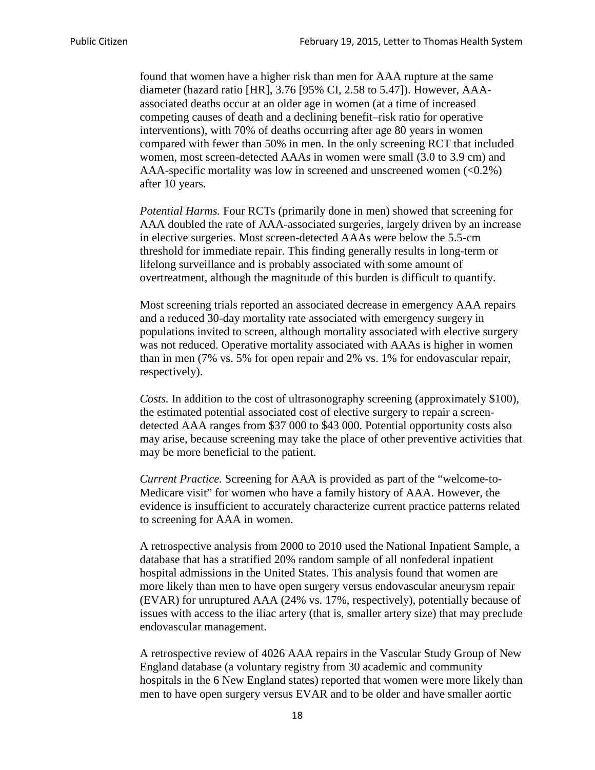found that women have a higher risk than men for AAA rupture at the same diameter (hazard ratio [HR], 3.76 [95% CI, 2.58 to 5.47]). However, AAAassociated deaths occur at an older age in women (at a time of increased competing causes of death and a declining benefit–risk ratio for operative interventions), with 70% of deaths occurring after age 80 years in women compared with fewer than 50% in men. In the only screening RCT that included women, most screen-detected AAAs in women were small (3.0 to 3.9 cm) and AAA-specific mortality was low in screened and unscreened women  $(\leq 0.2\%)$ after 10 years.

*Potential Harms.* Four RCTs (primarily done in men) showed that screening for AAA doubled the rate of AAA-associated surgeries, largely driven by an increase in elective surgeries. Most screen-detected AAAs were below the 5.5-cm threshold for immediate repair. This finding generally results in long-term or lifelong surveillance and is probably associated with some amount of overtreatment, although the magnitude of this burden is difficult to quantify.

Most screening trials reported an associated decrease in emergency AAA repairs and a reduced 30-day mortality rate associated with emergency surgery in populations invited to screen, although mortality associated with elective surgery was not reduced. Operative mortality associated with AAAs is higher in women than in men (7% vs. 5% for open repair and 2% vs. 1% for endovascular repair, respectively).

*Costs.* In addition to the cost of ultrasonography screening (approximately \$100), the estimated potential associated cost of elective surgery to repair a screendetected AAA ranges from \$37 000 to \$43 000. Potential opportunity costs also may arise, because screening may take the place of other preventive activities that may be more beneficial to the patient.

*Current Practice.* Screening for AAA is provided as part of the "welcome-to-Medicare visit" for women who have a family history of AAA. However, the evidence is insufficient to accurately characterize current practice patterns related to screening for AAA in women.

A retrospective analysis from 2000 to 2010 used the National Inpatient Sample, a database that has a stratified 20% random sample of all nonfederal inpatient hospital admissions in the United States. This analysis found that women are more likely than men to have open surgery versus endovascular aneurysm repair (EVAR) for unruptured AAA (24% vs. 17%, respectively), potentially because of issues with access to the iliac artery (that is, smaller artery size) that may preclude endovascular management.

A retrospective review of 4026 AAA repairs in the Vascular Study Group of New England database (a voluntary registry from 30 academic and community hospitals in the 6 New England states) reported that women were more likely than men to have open surgery versus EVAR and to be older and have smaller aortic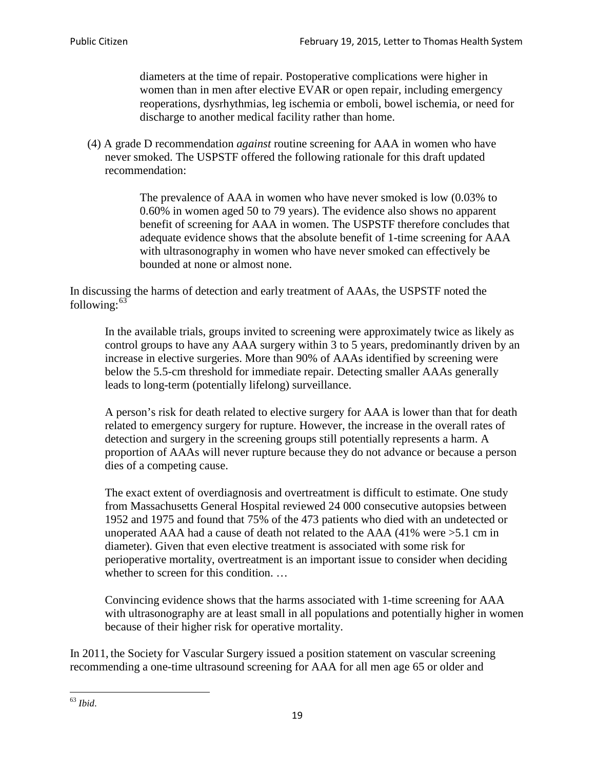diameters at the time of repair. Postoperative complications were higher in women than in men after elective EVAR or open repair, including emergency reoperations, dysrhythmias, leg ischemia or emboli, bowel ischemia, or need for discharge to another medical facility rather than home.

(4) A grade D recommendation *against* routine screening for AAA in women who have never smoked. The USPSTF offered the following rationale for this draft updated recommendation:

> The prevalence of AAA in women who have never smoked is low (0.03% to 0.60% in women aged 50 to 79 years). The evidence also shows no apparent benefit of screening for AAA in women. The USPSTF therefore concludes that adequate evidence shows that the absolute benefit of 1-time screening for AAA with ultrasonography in women who have never smoked can effectively be bounded at none or almost none.

In discussing the harms of detection and early treatment of AAAs, the USPSTF noted the following: $63$ 

In the available trials, groups invited to screening were approximately twice as likely as control groups to have any AAA surgery within 3 to 5 years, predominantly driven by an increase in elective surgeries. More than 90% of AAAs identified by screening were below the 5.5-cm threshold for immediate repair. Detecting smaller AAAs generally leads to long-term (potentially lifelong) surveillance.

A person's risk for death related to elective surgery for AAA is lower than that for death related to emergency surgery for rupture. However, the increase in the overall rates of detection and surgery in the screening groups still potentially represents a harm. A proportion of AAAs will never rupture because they do not advance or because a person dies of a competing cause.

The exact extent of overdiagnosis and overtreatment is difficult to estimate. One study from Massachusetts General Hospital reviewed 24 000 consecutive autopsies between 1952 and 1975 and found that 75% of the 473 patients who died with an undetected or unoperated AAA had a cause of death not related to the AAA (41% were >5.1 cm in diameter). Given that even elective treatment is associated with some risk for perioperative mortality, overtreatment is an important issue to consider when deciding whether to screen for this condition....

Convincing evidence shows that the harms associated with 1-time screening for AAA with ultrasonography are at least small in all populations and potentially higher in women because of their higher risk for operative mortality.

In 2011, the Society for Vascular Surgery issued a position statement on vascular screening recommending a one-time ultrasound screening for AAA for all men age 65 or older and

<span id="page-18-0"></span><sup>63</sup> *Ibid*.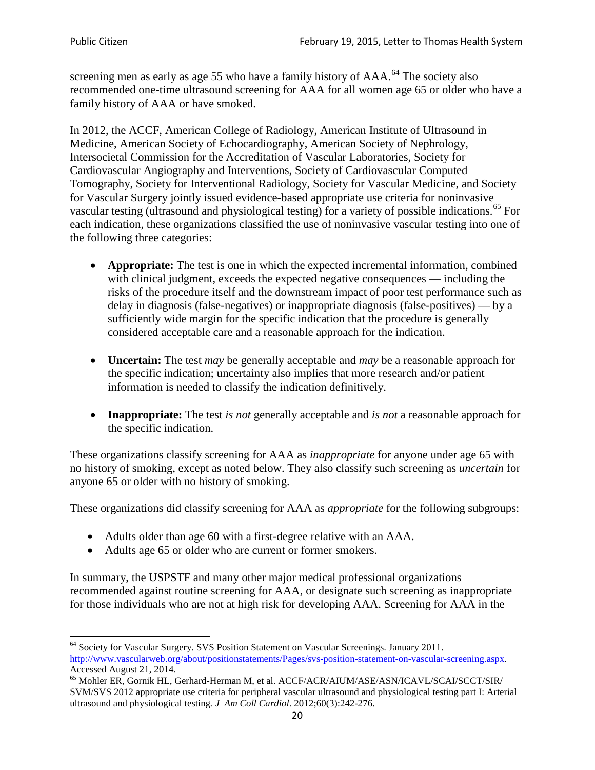screening men as early as age 55 who have a family history of AAA.<sup>[64](#page-19-0)</sup> The society also recommended one-time ultrasound screening for AAA for all women age 65 or older who have a family history of AAA or have smoked.

In 2012, the ACCF, American College of Radiology, American Institute of Ultrasound in Medicine, American Society of Echocardiography, American Society of Nephrology, Intersocietal Commission for the Accreditation of Vascular Laboratories, Society for Cardiovascular Angiography and Interventions, Society of Cardiovascular Computed Tomography, Society for Interventional Radiology, Society for Vascular Medicine, and Society for Vascular Surgery jointly issued evidence-based appropriate use criteria for noninvasive vascular testing (ultrasound and physiological testing) for a variety of possible indications.<sup>[65](#page-19-1)</sup> For each indication, these organizations classified the use of noninvasive vascular testing into one of the following three categories:

- **Appropriate:** The test is one in which the expected incremental information, combined with clinical judgment, exceeds the expected negative consequences — including the risks of the procedure itself and the downstream impact of poor test performance such as delay in diagnosis (false-negatives) or inappropriate diagnosis (false-positives) — by a sufficiently wide margin for the specific indication that the procedure is generally considered acceptable care and a reasonable approach for the indication.
- **Uncertain:** The test *may* be generally acceptable and *may* be a reasonable approach for the specific indication; uncertainty also implies that more research and/or patient information is needed to classify the indication definitively.
- **Inappropriate:** The test *is not* generally acceptable and *is not* a reasonable approach for the specific indication.

These organizations classify screening for AAA as *inappropriate* for anyone under age 65 with no history of smoking, except as noted below. They also classify such screening as *uncertain* for anyone 65 or older with no history of smoking.

These organizations did classify screening for AAA as *appropriate* for the following subgroups:

- Adults older than age 60 with a first-degree relative with an AAA.
- Adults age 65 or older who are current or former smokers.

In summary, the USPSTF and many other major medical professional organizations recommended against routine screening for AAA, or designate such screening as inappropriate for those individuals who are not at high risk for developing AAA. Screening for AAA in the

<span id="page-19-0"></span><sup>64</sup> Society for Vascular Surgery. SVS Position Statement on Vascular Screenings. January 2011. [http://www.vascularweb.org/about/positionstatements/Pages/svs-position-statement-on-vascular-screening.aspx.](http://www.vascularweb.org/about/positionstatements/Pages/svs-position-statement-on-vascular-screening.aspx) 

<span id="page-19-1"></span>Accessed August 21, 2014.<br><sup>65</sup> Mohler ER, Gornik HL, Gerhard-Herman M, et al. ACCF/ACR/AIUM/ASE/ASN/ICAVL/SCAI/SCCT/SIR/ SVM/SVS 2012 appropriate use criteria for peripheral vascular ultrasound and physiological testing part I: Arterial ultrasound and physiological testing*. J Am Coll Cardiol*. 2012;60(3):242-276.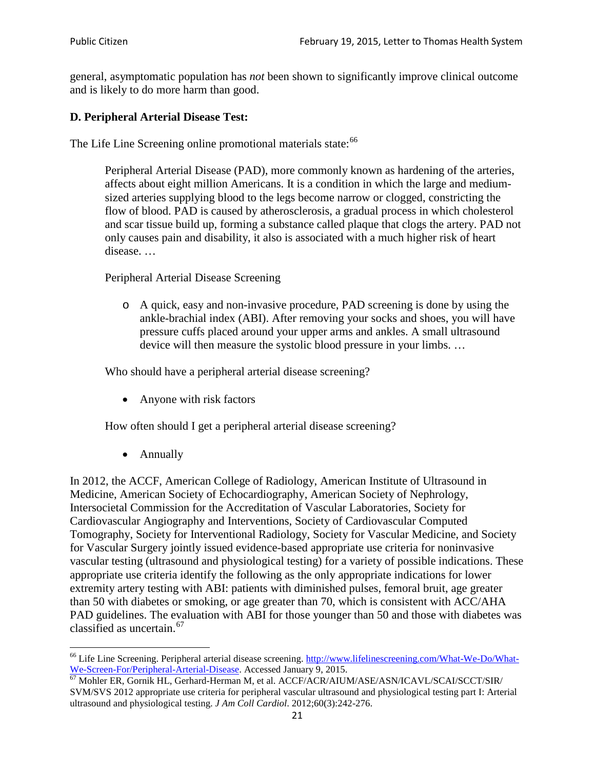general, asymptomatic population has *not* been shown to significantly improve clinical outcome and is likely to do more harm than good.

# **D. Peripheral Arterial Disease Test:**

The Life Line Screening online promotional materials state:<sup>[66](#page-20-0)</sup>

Peripheral Arterial Disease (PAD), more commonly known as hardening of the arteries, affects about eight million Americans. It is a condition in which the large and mediumsized arteries supplying blood to the legs become narrow or clogged, constricting the flow of blood. PAD is caused by atherosclerosis, a gradual process in which cholesterol and scar tissue build up, forming a substance called plaque that clogs the artery. PAD not only causes pain and disability, it also is associated with a much higher risk of heart disease. …

Peripheral Arterial Disease Screening

o A quick, easy and non-invasive procedure, PAD screening is done by using the ankle-brachial index (ABI). After removing your socks and shoes, you will have pressure cuffs placed around your upper arms and ankles. A small ultrasound device will then measure the systolic blood pressure in your limbs. …

Who should have a peripheral arterial disease screening?

• Anyone with risk factors

How often should I get a peripheral arterial disease screening?

• Annually

In 2012, the ACCF, American College of Radiology, American Institute of Ultrasound in Medicine, American Society of Echocardiography, American Society of Nephrology, Intersocietal Commission for the Accreditation of Vascular Laboratories, Society for Cardiovascular Angiography and Interventions, Society of Cardiovascular Computed Tomography, Society for Interventional Radiology, Society for Vascular Medicine, and Society for Vascular Surgery jointly issued evidence-based appropriate use criteria for noninvasive vascular testing (ultrasound and physiological testing) for a variety of possible indications. These appropriate use criteria identify the following as the only appropriate indications for lower extremity artery testing with ABI: patients with diminished pulses, femoral bruit, age greater than 50 with diabetes or smoking, or age greater than 70, which is consistent with ACC/AHA PAD guidelines. The evaluation with ABI for those younger than 50 and those with diabetes was classified as uncertain.<sup>[67](#page-20-1)</sup>

<span id="page-20-0"></span><sup>&</sup>lt;sup>66</sup> Life Line Screening. Peripheral arterial disease screening. [http://www.lifelinescreening.com/What-We-Do/What-](http://www.lifelinescreening.com/What-We-Do/What-We-Screen-For/Peripheral-Arterial-Disease)[We-Screen-For/Peripheral-Arterial-Disease.](http://www.lifelinescreening.com/What-We-Do/What-We-Screen-For/Peripheral-Arterial-Disease) Accessed January 9, 2015.<br><sup>67</sup> Mohler ER, Gornik HL, Gerhard-Herman M, et al. ACCF/ACR/AIUM/ASE/ASN/ICAVL/SCAI/SCCT/SIR/

<span id="page-20-1"></span>SVM/SVS 2012 appropriate use criteria for peripheral vascular ultrasound and physiological testing part I: Arterial ultrasound and physiological testing. *J Am Coll Cardiol*. 2012;60(3):242-276.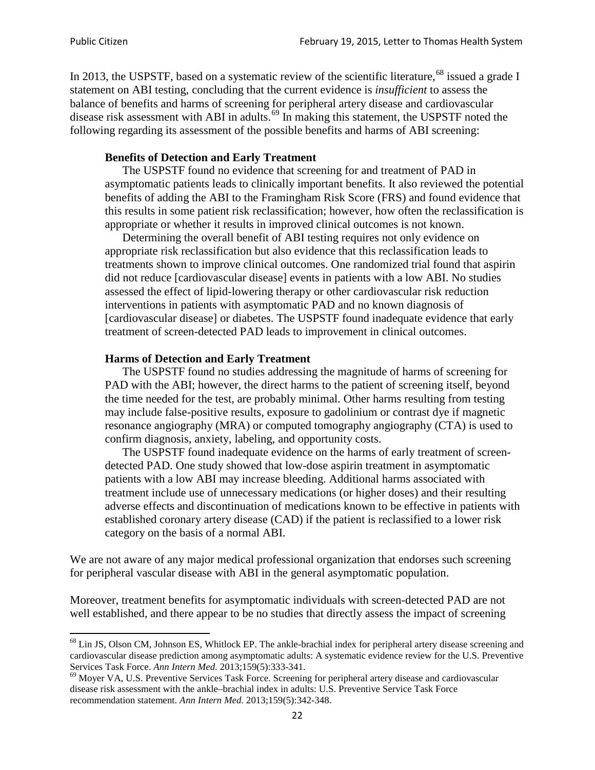In 2013, the USPSTF, based on a systematic review of the scientific literature,<sup>[68](#page-21-0)</sup> issued a grade I statement on ABI testing, concluding that the current evidence is *insufficient* to assess the balance of benefits and harms of screening for peripheral artery disease and cardiovascular disease risk assessment with ABI in adults.<sup>[69](#page-21-1)</sup> In making this statement, the USPSTF noted the following regarding its assessment of the possible benefits and harms of ABI screening:

### **Benefits of Detection and Early Treatment**

The USPSTF found no evidence that screening for and treatment of PAD in asymptomatic patients leads to clinically important benefits. It also reviewed the potential benefits of adding the ABI to the Framingham Risk Score (FRS) and found evidence that this results in some patient risk reclassification; however, how often the reclassification is appropriate or whether it results in improved clinical outcomes is not known.

Determining the overall benefit of ABI testing requires not only evidence on appropriate risk reclassification but also evidence that this reclassification leads to treatments shown to improve clinical outcomes. One randomized trial found that aspirin did not reduce [cardiovascular disease] events in patients with a low ABI. No studies assessed the effect of lipid-lowering therapy or other cardiovascular risk reduction interventions in patients with asymptomatic PAD and no known diagnosis of [cardiovascular disease] or diabetes. The USPSTF found inadequate evidence that early treatment of screen-detected PAD leads to improvement in clinical outcomes.

### **Harms of Detection and Early Treatment**

The USPSTF found no studies addressing the magnitude of harms of screening for PAD with the ABI; however, the direct harms to the patient of screening itself, beyond the time needed for the test, are probably minimal. Other harms resulting from testing may include false-positive results, exposure to gadolinium or contrast dye if magnetic resonance angiography (MRA) or computed tomography angiography (CTA) is used to confirm diagnosis, anxiety, labeling, and opportunity costs.

The USPSTF found inadequate evidence on the harms of early treatment of screendetected PAD. One study showed that low-dose aspirin treatment in asymptomatic patients with a low ABI may increase bleeding. Additional harms associated with treatment include use of unnecessary medications (or higher doses) and their resulting adverse effects and discontinuation of medications known to be effective in patients with established coronary artery disease (CAD) if the patient is reclassified to a lower risk category on the basis of a normal ABI.

We are not aware of any major medical professional organization that endorses such screening for peripheral vascular disease with ABI in the general asymptomatic population.

Moreover, treatment benefits for asymptomatic individuals with screen-detected PAD are not well established, and there appear to be no studies that directly assess the impact of screening

<span id="page-21-0"></span><sup>&</sup>lt;sup>68</sup> Lin JS, Olson CM, Johnson ES, Whitlock EP. The ankle-brachial index for peripheral artery disease screening and cardiovascular disease prediction among asymptomatic adults: A systematic evidence review for the U.S. Preventive Services Task Force. *Ann Intern Med.* 2013;159(5):333-341.<br><sup>69</sup> Moyer VA, U.S. Preventive Services Task Force. Screening for peripheral artery disease and cardiovascular

<span id="page-21-1"></span>disease risk assessment with the ankle–brachial index in adults: U.S. Preventive Service Task Force recommendation statement. *Ann Intern Med.* 2013;159(5):342-348.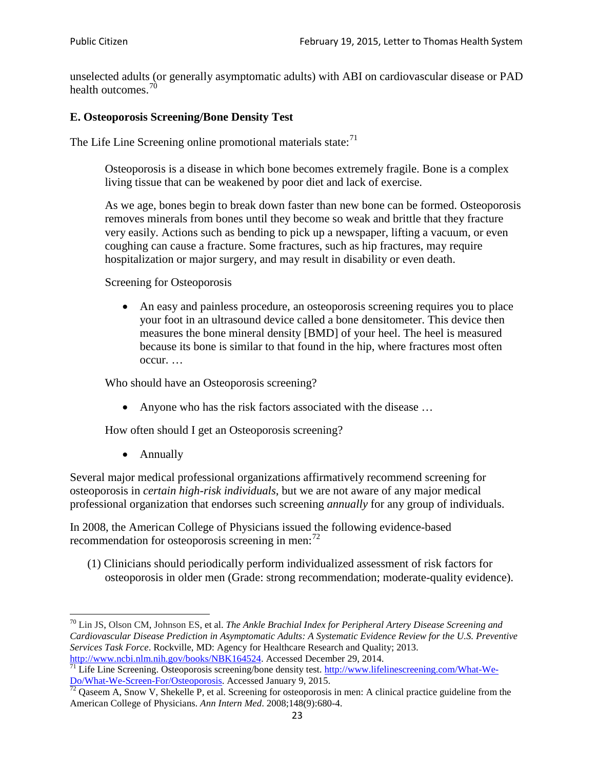unselected adults (or generally asymptomatic adults) with ABI on cardiovascular disease or PAD health outcomes.<sup>[70](#page-22-0)</sup>

# **E. Osteoporosis Screening/Bone Density Test**

The Life Line Screening online promotional materials state: $71$ 

Osteoporosis is a disease in which bone becomes extremely fragile. Bone is a complex living tissue that can be weakened by poor diet and lack of exercise.

As we age, bones begin to break down faster than new bone can be formed. Osteoporosis removes minerals from bones until they become so weak and brittle that they fracture very easily. Actions such as bending to pick up a newspaper, lifting a vacuum, or even coughing can cause a fracture. Some fractures, such as hip fractures, may require hospitalization or major surgery, and may result in disability or even death.

Screening for Osteoporosis

• An easy and painless procedure, an osteoporosis screening requires you to place your foot in an ultrasound device called a bone densitometer. This device then measures the bone mineral density [BMD] of your heel. The heel is measured because its bone is similar to that found in the hip, where fractures most often occur. …

Who should have an Osteoporosis screening?

• Anyone who has the risk factors associated with the disease ...

How often should I get an Osteoporosis screening?

• Annually

Several major medical professional organizations affirmatively recommend screening for osteoporosis in *certain high-risk individuals*, but we are not aware of any major medical professional organization that endorses such screening *annually* for any group of individuals.

In 2008, the American College of Physicians issued the following evidence-based recommendation for osteoporosis screening in men: $^{72}$  $^{72}$  $^{72}$ 

(1) Clinicians should periodically perform individualized assessment of risk factors for osteoporosis in older men (Grade: strong recommendation; moderate-quality evidence).

<span id="page-22-0"></span><sup>70</sup> [Lin JS,](http://www.ncbi.nlm.nih.gov/pubmed?term=Lin%20JS%5BAuthor%5D&cauthor=true&cauthor_uid=24156115) [Olson CM,](http://www.ncbi.nlm.nih.gov/pubmed?term=Olson%20CM%5BAuthor%5D&cauthor=true&cauthor_uid=24156115) [Johnson ES,](http://www.ncbi.nlm.nih.gov/pubmed?term=Johnson%20ES%5BAuthor%5D&cauthor=true&cauthor_uid=24156115) et al. *The Ankle Brachial Index for Peripheral Artery Disease Screening and Cardiovascular Disease Prediction in Asymptomatic Adults: A Systematic Evidence Review for the U.S. Preventive Services Task Force*. Rockville, MD: Agency for Healthcare Research and Quality; 2013.<br>http://www.ncbi.nlm.nih.gov/books/NBK164524. Accessed December 29, 2014.

<span id="page-22-1"></span> $\frac{1}{71}$  Life Line Screening. Osteoporosis screening/bone density test. [http://www.lifelinescreening.com/What-We-](http://www.lifelinescreening.com/What-We-Do/What-We-Screen-For/Osteoporosis) $\frac{Do/What-We-Screen-For/Osteoporosis}{72}$  Qaseem A, Snow V, Shekelle P, et al. Screening for osteoporosis in men: A clinical practice guideline from the

<span id="page-22-2"></span>American College of Physicians. *Ann Intern Med*. 2008;148(9):680-4.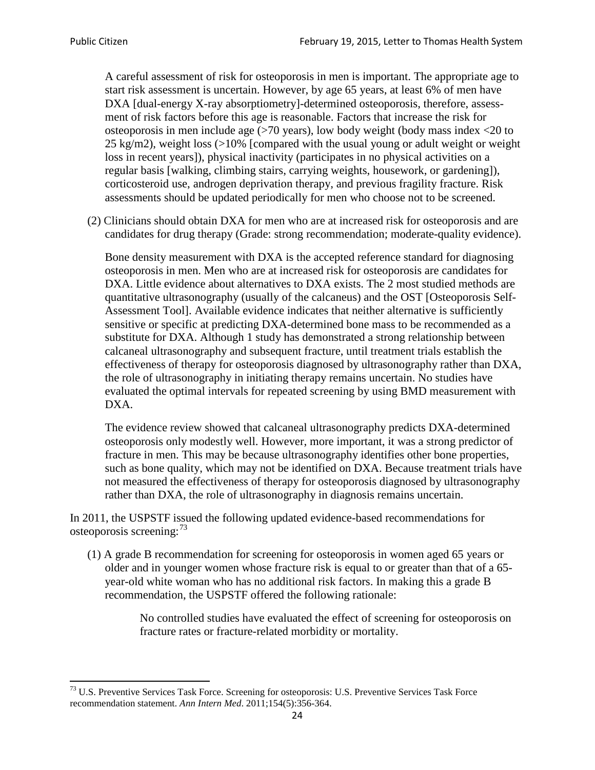A careful assessment of risk for osteoporosis in men is important. The appropriate age to start risk assessment is uncertain. However, by age 65 years, at least 6% of men have DXA [dual-energy X-ray absorptiometry]-determined osteoporosis, therefore, assessment of risk factors before this age is reasonable. Factors that increase the risk for osteoporosis in men include age (>70 years), low body weight (body mass index <20 to 25 kg/m2), weight loss  $\langle$  >10% [compared with the usual young or adult weight or weight loss in recent years]), physical inactivity (participates in no physical activities on a regular basis [walking, climbing stairs, carrying weights, housework, or gardening]), corticosteroid use, androgen deprivation therapy, and previous fragility fracture. Risk assessments should be updated periodically for men who choose not to be screened.

(2) Clinicians should obtain DXA for men who are at increased risk for osteoporosis and are candidates for drug therapy (Grade: strong recommendation; moderate-quality evidence).

Bone density measurement with DXA is the accepted reference standard for diagnosing osteoporosis in men. Men who are at increased risk for osteoporosis are candidates for DXA. Little evidence about alternatives to DXA exists. The 2 most studied methods are quantitative ultrasonography (usually of the calcaneus) and the OST [Osteoporosis Self-Assessment Tool]. Available evidence indicates that neither alternative is sufficiently sensitive or specific at predicting DXA-determined bone mass to be recommended as a substitute for DXA. Although 1 study has demonstrated a strong relationship between calcaneal ultrasonography and subsequent fracture, until treatment trials establish the effectiveness of therapy for osteoporosis diagnosed by ultrasonography rather than DXA, the role of ultrasonography in initiating therapy remains uncertain. No studies have evaluated the optimal intervals for repeated screening by using BMD measurement with DXA.

The evidence review showed that calcaneal ultrasonography predicts DXA-determined osteoporosis only modestly well. However, more important, it was a strong predictor of fracture in men. This may be because ultrasonography identifies other bone properties, such as bone quality, which may not be identified on DXA. Because treatment trials have not measured the effectiveness of therapy for osteoporosis diagnosed by ultrasonography rather than DXA, the role of ultrasonography in diagnosis remains uncertain.

In 2011, the USPSTF issued the following updated evidence-based recommendations for osteoporosis screening:<sup>[73](#page-23-0)</sup>

(1) A grade B recommendation for screening for osteoporosis in women aged 65 years or older and in younger women whose fracture risk is equal to or greater than that of a 65 year-old white woman who has no additional risk factors. In making this a grade B recommendation, the USPSTF offered the following rationale:

> No controlled studies have evaluated the effect of screening for osteoporosis on fracture rates or fracture-related morbidity or mortality.

<span id="page-23-0"></span><sup>&</sup>lt;sup>73</sup> U.S. Preventive Services Task Force. Screening for osteoporosis: U.S. Preventive Services Task Force recommendation statement. *Ann Intern Med*. 2011;154(5):356-364.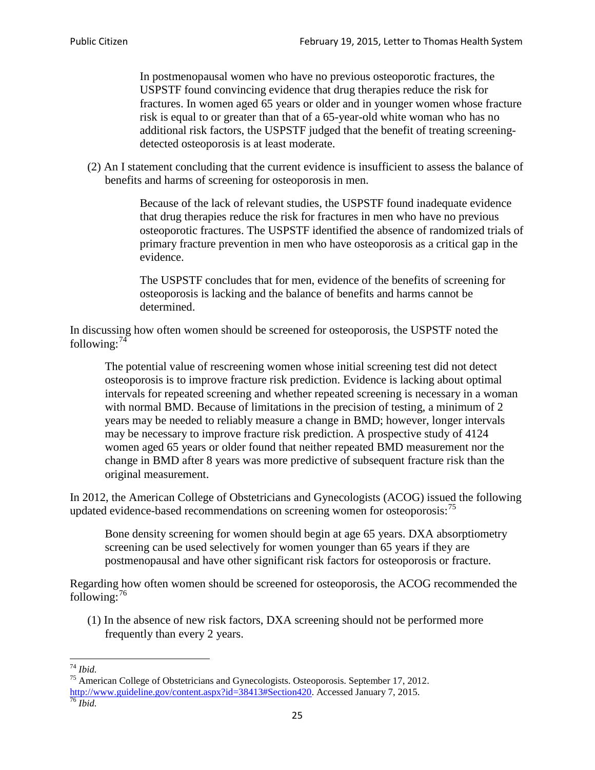In postmenopausal women who have no previous osteoporotic fractures, the USPSTF found convincing evidence that drug therapies reduce the risk for fractures. In women aged 65 years or older and in younger women whose fracture risk is equal to or greater than that of a 65-year-old white woman who has no additional risk factors, the USPSTF judged that the benefit of treating screeningdetected osteoporosis is at least moderate.

(2) An I statement concluding that the current evidence is insufficient to assess the balance of benefits and harms of screening for osteoporosis in men.

> Because of the lack of relevant studies, the USPSTF found inadequate evidence that drug therapies reduce the risk for fractures in men who have no previous osteoporotic fractures. The USPSTF identified the absence of randomized trials of primary fracture prevention in men who have osteoporosis as a critical gap in the evidence.

The USPSTF concludes that for men, evidence of the benefits of screening for osteoporosis is lacking and the balance of benefits and harms cannot be determined.

In discussing how often women should be screened for osteoporosis, the USPSTF noted the following: $74$ 

The potential value of rescreening women whose initial screening test did not detect osteoporosis is to improve fracture risk prediction. Evidence is lacking about optimal intervals for repeated screening and whether repeated screening is necessary in a woman with normal BMD. Because of limitations in the precision of testing, a minimum of 2 years may be needed to reliably measure a change in BMD; however, longer intervals may be necessary to improve fracture risk prediction. A prospective study of 4124 women aged 65 years or older found that neither repeated BMD measurement nor the change in BMD after 8 years was more predictive of subsequent fracture risk than the original measurement.

In 2012, the American College of Obstetricians and Gynecologists (ACOG) issued the following updated evidence-based recommendations on screening women for osteoporosis:<sup>[75](#page-24-1)</sup>

Bone density screening for women should begin at age 65 years. DXA absorptiometry screening can be used selectively for women younger than 65 years if they are postmenopausal and have other significant risk factors for osteoporosis or fracture.

Regarding how often women should be screened for osteoporosis, the ACOG recommended the following: $^{76}$  $^{76}$  $^{76}$ 

(1) In the absence of new risk factors, DXA screening should not be performed more frequently than every 2 years.

<span id="page-24-2"></span><span id="page-24-1"></span><span id="page-24-0"></span><sup>74</sup> *Ibid.* <sup>75</sup> American College of Obstetricians and Gynecologists. Osteoporosis. September 17, 2012. [http://www.guideline.gov/content.aspx?id=38413#Section420.](http://www.guideline.gov/content.aspx?id=38413#Section420) Accessed January 7, 2015.<br><sup>76</sup> *Ibid.*